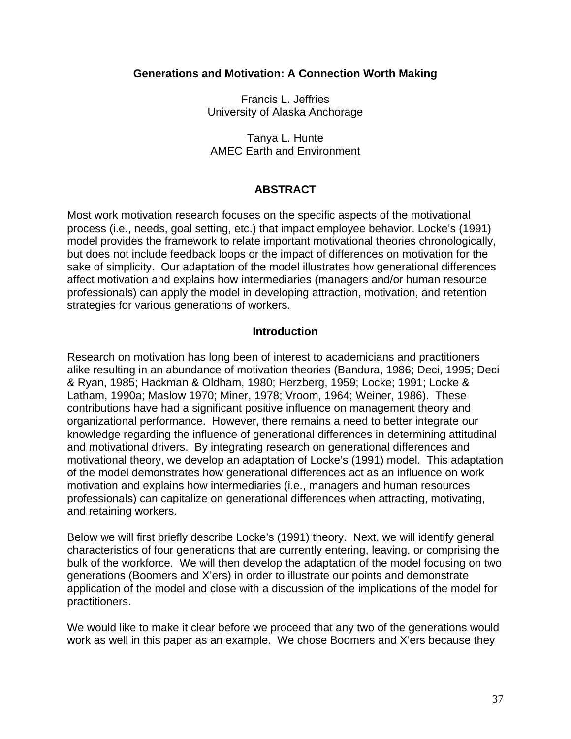### **Generations and Motivation: A Connection Worth Making**

Francis L. Jeffries University of Alaska Anchorage

Tanya L. Hunte AMEC Earth and Environment

## **ABSTRACT**

Most work motivation research focuses on the specific aspects of the motivational process (i.e., needs, goal setting, etc.) that impact employee behavior. Locke's (1991) model provides the framework to relate important motivational theories chronologically, but does not include feedback loops or the impact of differences on motivation for the sake of simplicity. Our adaptation of the model illustrates how generational differences affect motivation and explains how intermediaries (managers and/or human resource professionals) can apply the model in developing attraction, motivation, and retention strategies for various generations of workers.

### **Introduction**

Research on motivation has long been of interest to academicians and practitioners alike resulting in an abundance of motivation theories (Bandura, 1986; Deci, 1995; Deci & Ryan, 1985; Hackman & Oldham, 1980; Herzberg, 1959; Locke; 1991; Locke & Latham, 1990a; Maslow 1970; Miner, 1978; Vroom, 1964; Weiner, 1986). These contributions have had a significant positive influence on management theory and organizational performance. However, there remains a need to better integrate our knowledge regarding the influence of generational differences in determining attitudinal and motivational drivers. By integrating research on generational differences and motivational theory, we develop an adaptation of Locke's (1991) model. This adaptation of the model demonstrates how generational differences act as an influence on work motivation and explains how intermediaries (i.e., managers and human resources professionals) can capitalize on generational differences when attracting, motivating, and retaining workers.

Below we will first briefly describe Locke's (1991) theory. Next, we will identify general characteristics of four generations that are currently entering, leaving, or comprising the bulk of the workforce. We will then develop the adaptation of the model focusing on two generations (Boomers and X'ers) in order to illustrate our points and demonstrate application of the model and close with a discussion of the implications of the model for practitioners.

We would like to make it clear before we proceed that any two of the generations would work as well in this paper as an example. We chose Boomers and X'ers because they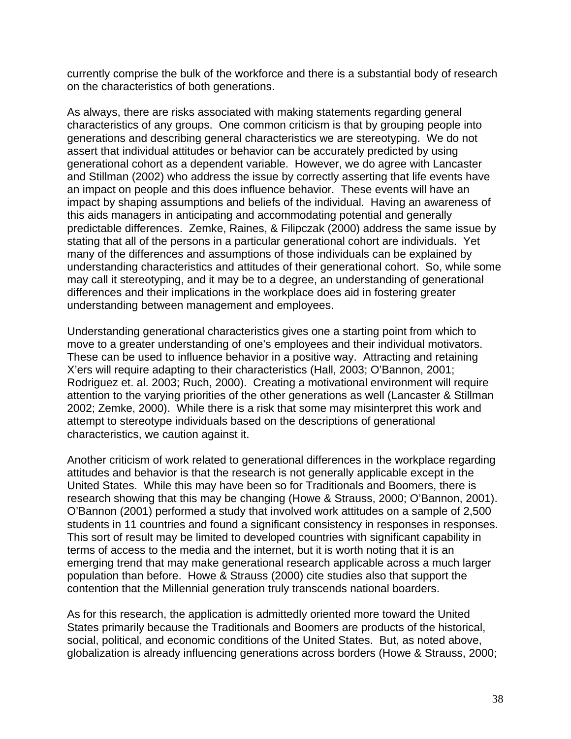currently comprise the bulk of the workforce and there is a substantial body of research on the characteristics of both generations.

As always, there are risks associated with making statements regarding general characteristics of any groups. One common criticism is that by grouping people into generations and describing general characteristics we are stereotyping. We do not assert that individual attitudes or behavior can be accurately predicted by using generational cohort as a dependent variable. However, we do agree with Lancaster and Stillman (2002) who address the issue by correctly asserting that life events have an impact on people and this does influence behavior. These events will have an impact by shaping assumptions and beliefs of the individual. Having an awareness of this aids managers in anticipating and accommodating potential and generally predictable differences. Zemke, Raines, & Filipczak (2000) address the same issue by stating that all of the persons in a particular generational cohort are individuals. Yet many of the differences and assumptions of those individuals can be explained by understanding characteristics and attitudes of their generational cohort. So, while some may call it stereotyping, and it may be to a degree, an understanding of generational differences and their implications in the workplace does aid in fostering greater understanding between management and employees.

Understanding generational characteristics gives one a starting point from which to move to a greater understanding of one's employees and their individual motivators. These can be used to influence behavior in a positive way. Attracting and retaining X'ers will require adapting to their characteristics (Hall, 2003; O'Bannon, 2001; Rodriguez et. al. 2003; Ruch, 2000). Creating a motivational environment will require attention to the varying priorities of the other generations as well (Lancaster & Stillman 2002; Zemke, 2000). While there is a risk that some may misinterpret this work and attempt to stereotype individuals based on the descriptions of generational characteristics, we caution against it.

Another criticism of work related to generational differences in the workplace regarding attitudes and behavior is that the research is not generally applicable except in the United States. While this may have been so for Traditionals and Boomers, there is research showing that this may be changing (Howe & Strauss, 2000; O'Bannon, 2001). O'Bannon (2001) performed a study that involved work attitudes on a sample of 2,500 students in 11 countries and found a significant consistency in responses in responses. This sort of result may be limited to developed countries with significant capability in terms of access to the media and the internet, but it is worth noting that it is an emerging trend that may make generational research applicable across a much larger population than before. Howe & Strauss (2000) cite studies also that support the contention that the Millennial generation truly transcends national boarders.

As for this research, the application is admittedly oriented more toward the United States primarily because the Traditionals and Boomers are products of the historical, social, political, and economic conditions of the United States. But, as noted above, globalization is already influencing generations across borders (Howe & Strauss, 2000;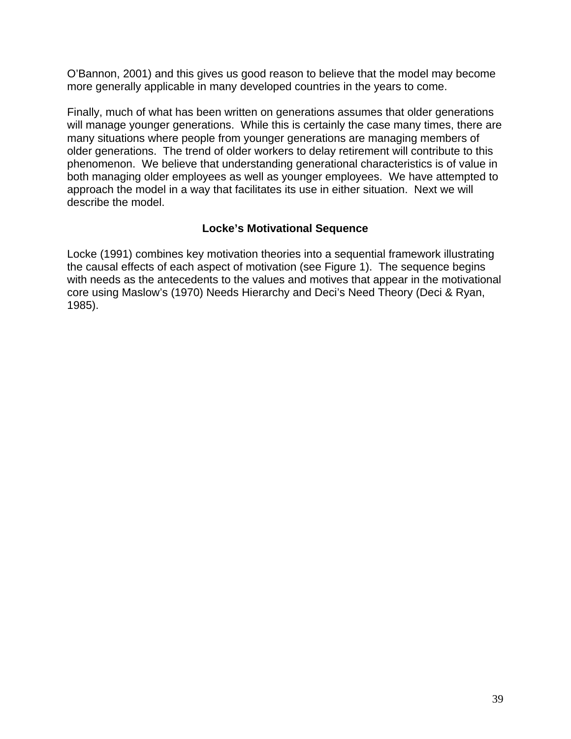O'Bannon, 2001) and this gives us good reason to believe that the model may become more generally applicable in many developed countries in the years to come.

Finally, much of what has been written on generations assumes that older generations will manage younger generations. While this is certainly the case many times, there are many situations where people from younger generations are managing members of older generations. The trend of older workers to delay retirement will contribute to this phenomenon. We believe that understanding generational characteristics is of value in both managing older employees as well as younger employees. We have attempted to approach the model in a way that facilitates its use in either situation. Next we will describe the model.

# **Locke's Motivational Sequence**

Locke (1991) combines key motivation theories into a sequential framework illustrating the causal effects of each aspect of motivation (see Figure 1). The sequence begins with needs as the antecedents to the values and motives that appear in the motivational core using Maslow's (1970) Needs Hierarchy and Deci's Need Theory (Deci & Ryan, 1985).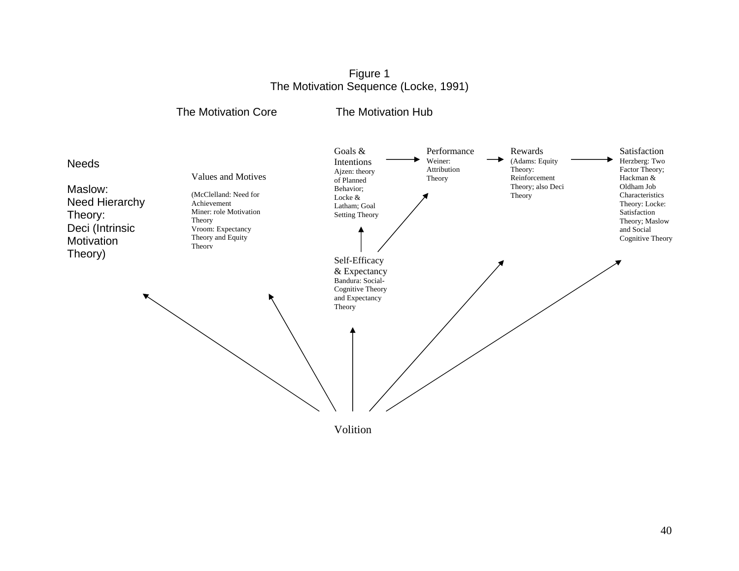Figure 1 The Motivation Sequence (Locke, 1991)

### The Motivation Core The Motivation Hub



Volition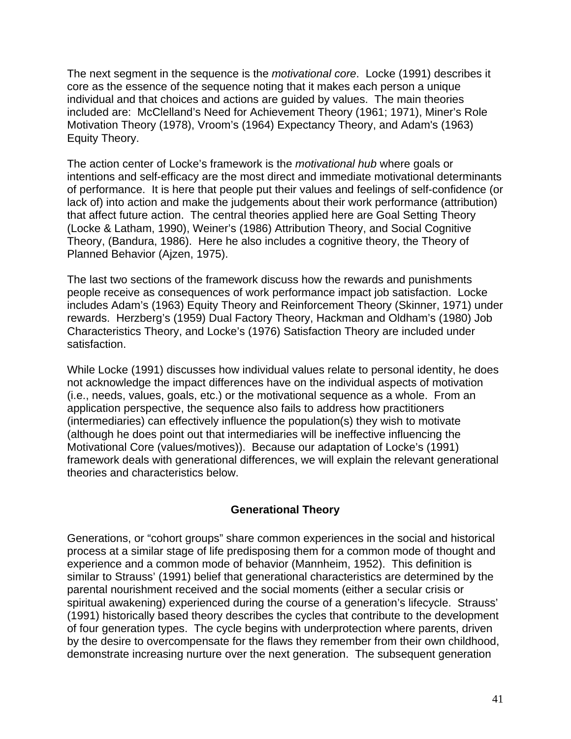The next segment in the sequence is the *motivational core*. Locke (1991) describes it core as the essence of the sequence noting that it makes each person a unique individual and that choices and actions are guided by values. The main theories included are: McClelland's Need for Achievement Theory (1961; 1971), Miner's Role Motivation Theory (1978), Vroom's (1964) Expectancy Theory, and Adam's (1963) Equity Theory.

The action center of Locke's framework is the *motivational hub* where goals or intentions and self-efficacy are the most direct and immediate motivational determinants of performance. It is here that people put their values and feelings of self-confidence (or lack of) into action and make the judgements about their work performance (attribution) that affect future action. The central theories applied here are Goal Setting Theory (Locke & Latham, 1990), Weiner's (1986) Attribution Theory, and Social Cognitive Theory, (Bandura, 1986). Here he also includes a cognitive theory, the Theory of Planned Behavior (Ajzen, 1975).

The last two sections of the framework discuss how the rewards and punishments people receive as consequences of work performance impact job satisfaction. Locke includes Adam's (1963) Equity Theory and Reinforcement Theory (Skinner, 1971) under rewards. Herzberg's (1959) Dual Factory Theory, Hackman and Oldham's (1980) Job Characteristics Theory, and Locke's (1976) Satisfaction Theory are included under satisfaction.

While Locke (1991) discusses how individual values relate to personal identity, he does not acknowledge the impact differences have on the individual aspects of motivation (i.e., needs, values, goals, etc.) or the motivational sequence as a whole. From an application perspective, the sequence also fails to address how practitioners (intermediaries) can effectively influence the population(s) they wish to motivate (although he does point out that intermediaries will be ineffective influencing the Motivational Core (values/motives)). Because our adaptation of Locke's (1991) framework deals with generational differences, we will explain the relevant generational theories and characteristics below.

# **Generational Theory**

Generations, or "cohort groups" share common experiences in the social and historical process at a similar stage of life predisposing them for a common mode of thought and experience and a common mode of behavior (Mannheim, 1952). This definition is similar to Strauss' (1991) belief that generational characteristics are determined by the parental nourishment received and the social moments (either a secular crisis or spiritual awakening) experienced during the course of a generation's lifecycle. Strauss' (1991) historically based theory describes the cycles that contribute to the development of four generation types. The cycle begins with underprotection where parents, driven by the desire to overcompensate for the flaws they remember from their own childhood, demonstrate increasing nurture over the next generation. The subsequent generation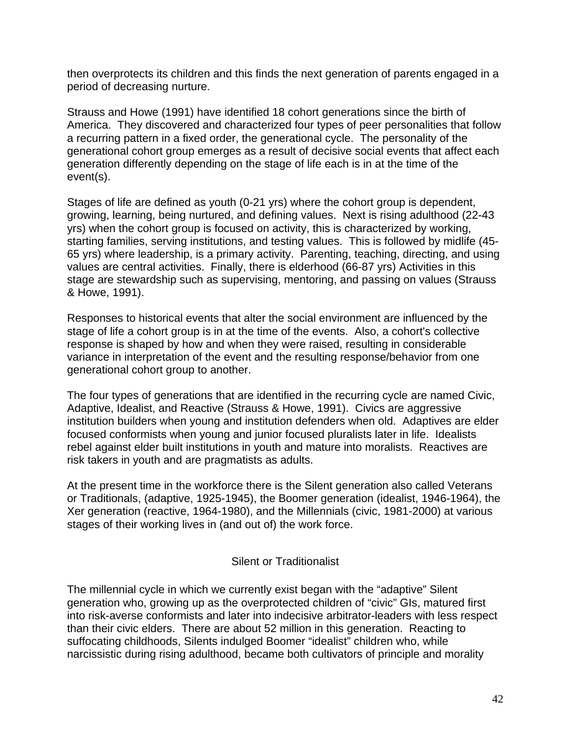then overprotects its children and this finds the next generation of parents engaged in a period of decreasing nurture.

Strauss and Howe (1991) have identified 18 cohort generations since the birth of America. They discovered and characterized four types of peer personalities that follow a recurring pattern in a fixed order, the generational cycle. The personality of the generational cohort group emerges as a result of decisive social events that affect each generation differently depending on the stage of life each is in at the time of the event(s).

Stages of life are defined as youth (0-21 yrs) where the cohort group is dependent, growing, learning, being nurtured, and defining values. Next is rising adulthood (22-43 yrs) when the cohort group is focused on activity, this is characterized by working, starting families, serving institutions, and testing values. This is followed by midlife (45- 65 yrs) where leadership, is a primary activity. Parenting, teaching, directing, and using values are central activities. Finally, there is elderhood (66-87 yrs) Activities in this stage are stewardship such as supervising, mentoring, and passing on values (Strauss & Howe, 1991).

Responses to historical events that alter the social environment are influenced by the stage of life a cohort group is in at the time of the events. Also, a cohort's collective response is shaped by how and when they were raised, resulting in considerable variance in interpretation of the event and the resulting response/behavior from one generational cohort group to another.

The four types of generations that are identified in the recurring cycle are named Civic, Adaptive, Idealist, and Reactive (Strauss & Howe, 1991). Civics are aggressive institution builders when young and institution defenders when old. Adaptives are elder focused conformists when young and junior focused pluralists later in life. Idealists rebel against elder built institutions in youth and mature into moralists. Reactives are risk takers in youth and are pragmatists as adults.

At the present time in the workforce there is the Silent generation also called Veterans or Traditionals, (adaptive, 1925-1945), the Boomer generation (idealist, 1946-1964), the Xer generation (reactive, 1964-1980), and the Millennials (civic, 1981-2000) at various stages of their working lives in (and out of) the work force.

### Silent or Traditionalist

The millennial cycle in which we currently exist began with the "adaptive" Silent generation who, growing up as the overprotected children of "civic" GIs, matured first into risk-averse conformists and later into indecisive arbitrator-leaders with less respect than their civic elders. There are about 52 million in this generation. Reacting to suffocating childhoods, Silents indulged Boomer "idealist" children who, while narcissistic during rising adulthood, became both cultivators of principle and morality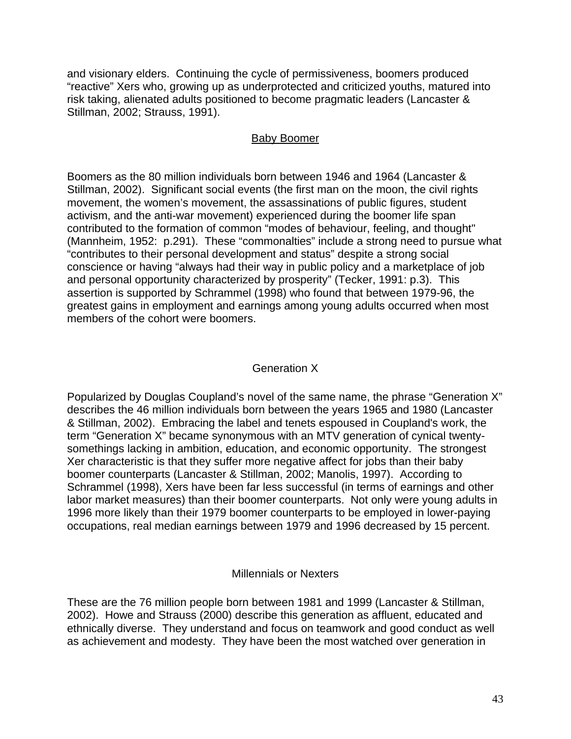and visionary elders. Continuing the cycle of permissiveness, boomers produced "reactive" Xers who, growing up as underprotected and criticized youths, matured into risk taking, alienated adults positioned to become pragmatic leaders (Lancaster & Stillman, 2002; Strauss, 1991).

## **Baby Boomer**

Boomers as the 80 million individuals born between 1946 and 1964 (Lancaster & Stillman, 2002). Significant social events (the first man on the moon, the civil rights movement, the women's movement, the assassinations of public figures, student activism, and the anti-war movement) experienced during the boomer life span contributed to the formation of common "modes of behaviour, feeling, and thought" (Mannheim, 1952: p.291). These "commonalties" include a strong need to pursue what "contributes to their personal development and status" despite a strong social conscience or having "always had their way in public policy and a marketplace of job and personal opportunity characterized by prosperity" (Tecker, 1991: p.3). This assertion is supported by Schrammel (1998) who found that between 1979-96, the greatest gains in employment and earnings among young adults occurred when most members of the cohort were boomers.

# Generation X

Popularized by Douglas Coupland's novel of the same name, the phrase "Generation X" describes the 46 million individuals born between the years 1965 and 1980 (Lancaster & Stillman, 2002). Embracing the label and tenets espoused in Coupland's work, the term "Generation X" became synonymous with an MTV generation of cynical twentysomethings lacking in ambition, education, and economic opportunity. The strongest Xer characteristic is that they suffer more negative affect for jobs than their baby boomer counterparts (Lancaster & Stillman, 2002; Manolis, 1997). According to Schrammel (1998), Xers have been far less successful (in terms of earnings and other labor market measures) than their boomer counterparts. Not only were young adults in 1996 more likely than their 1979 boomer counterparts to be employed in lower-paying occupations, real median earnings between 1979 and 1996 decreased by 15 percent.

### Millennials or Nexters

These are the 76 million people born between 1981 and 1999 (Lancaster & Stillman, 2002). Howe and Strauss (2000) describe this generation as affluent, educated and ethnically diverse. They understand and focus on teamwork and good conduct as well as achievement and modesty. They have been the most watched over generation in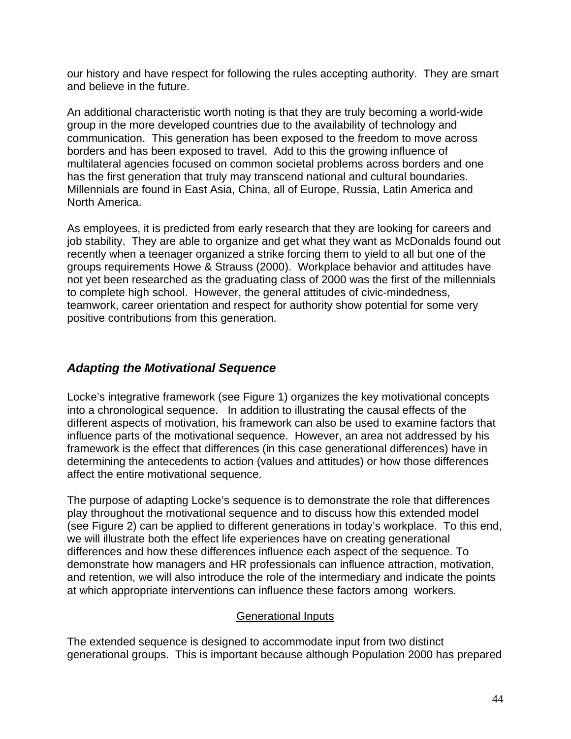our history and have respect for following the rules accepting authority. They are smart and believe in the future.

An additional characteristic worth noting is that they are truly becoming a world-wide group in the more developed countries due to the availability of technology and communication. This generation has been exposed to the freedom to move across borders and has been exposed to travel. Add to this the growing influence of multilateral agencies focused on common societal problems across borders and one has the first generation that truly may transcend national and cultural boundaries. Millennials are found in East Asia, China, all of Europe, Russia, Latin America and North America.

As employees, it is predicted from early research that they are looking for careers and job stability. They are able to organize and get what they want as McDonalds found out recently when a teenager organized a strike forcing them to yield to all but one of the groups requirements Howe & Strauss (2000). Workplace behavior and attitudes have not yet been researched as the graduating class of 2000 was the first of the millennials to complete high school. However, the general attitudes of civic-mindedness, teamwork, career orientation and respect for authority show potential for some very positive contributions from this generation.

# *Adapting the Motivational Sequence*

Locke's integrative framework (see Figure 1) organizes the key motivational concepts into a chronological sequence. In addition to illustrating the causal effects of the different aspects of motivation, his framework can also be used to examine factors that influence parts of the motivational sequence. However, an area not addressed by his framework is the effect that differences (in this case generational differences) have in determining the antecedents to action (values and attitudes) or how those differences affect the entire motivational sequence.

The purpose of adapting Locke's sequence is to demonstrate the role that differences play throughout the motivational sequence and to discuss how this extended model (see Figure 2) can be applied to different generations in today's workplace. To this end, we will illustrate both the effect life experiences have on creating generational differences and how these differences influence each aspect of the sequence. To demonstrate how managers and HR professionals can influence attraction, motivation, and retention, we will also introduce the role of the intermediary and indicate the points at which appropriate interventions can influence these factors among workers.

### Generational Inputs

The extended sequence is designed to accommodate input from two distinct generational groups. This is important because although Population 2000 has prepared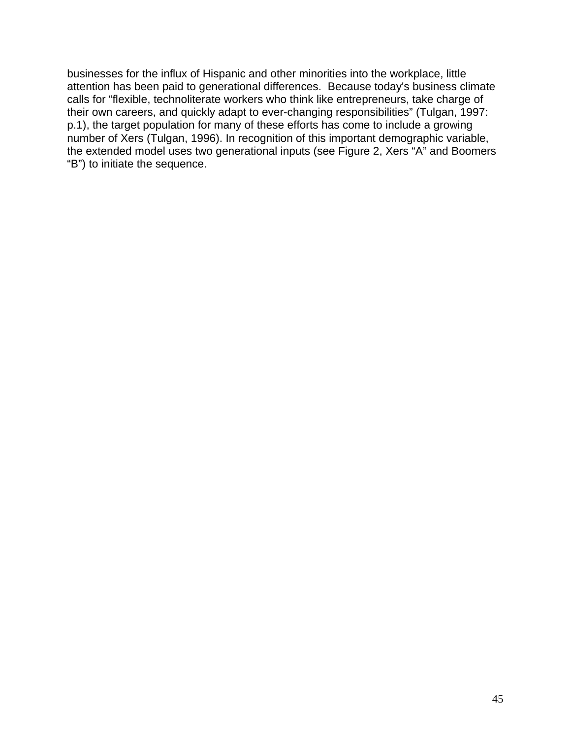businesses for the influx of Hispanic and other minorities into the workplace, little attention has been paid to generational differences. Because today's business climate calls for "flexible, technoliterate workers who think like entrepreneurs, take charge of their own careers, and quickly adapt to ever-changing responsibilities" (Tulgan, 1997: p.1), the target population for many of these efforts has come to include a growing number of Xers (Tulgan, 1996). In recognition of this important demographic variable, the extended model uses two generational inputs (see Figure 2, Xers "A" and Boomers "B") to initiate the sequence.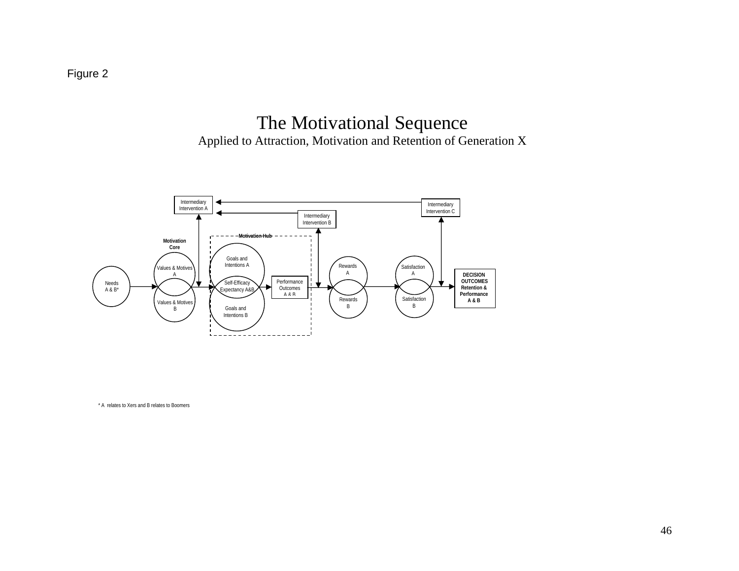Figure 2

# The Motivational Sequence Applied to Attraction, Motivation and Retention of Generation X



\* A relates to Xers and B relates to Boomers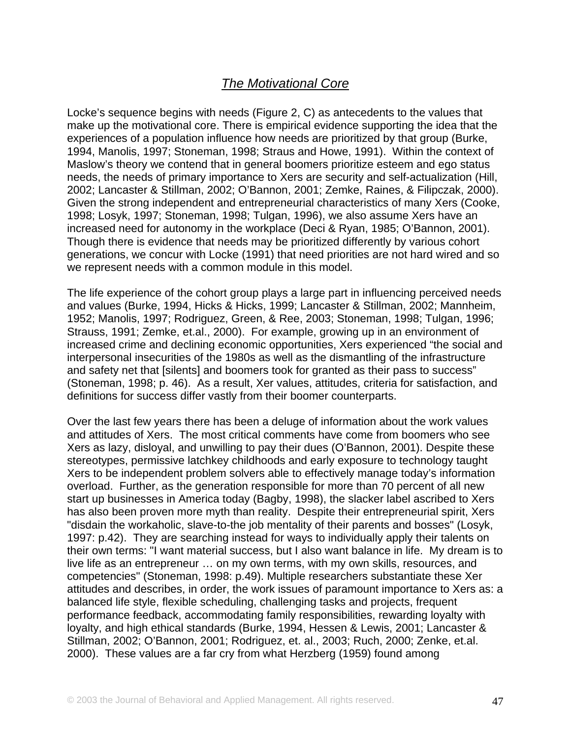# *The Motivational Core*

Locke's sequence begins with needs (Figure 2, C) as antecedents to the values that make up the motivational core. There is empirical evidence supporting the idea that the experiences of a population influence how needs are prioritized by that group (Burke, 1994, Manolis, 1997; Stoneman, 1998; Straus and Howe, 1991). Within the context of Maslow's theory we contend that in general boomers prioritize esteem and ego status needs, the needs of primary importance to Xers are security and self-actualization (Hill, 2002; Lancaster & Stillman, 2002; O'Bannon, 2001; Zemke, Raines, & Filipczak, 2000). Given the strong independent and entrepreneurial characteristics of many Xers (Cooke, 1998; Losyk, 1997; Stoneman, 1998; Tulgan, 1996), we also assume Xers have an increased need for autonomy in the workplace (Deci & Ryan, 1985; O'Bannon, 2001). Though there is evidence that needs may be prioritized differently by various cohort generations, we concur with Locke (1991) that need priorities are not hard wired and so we represent needs with a common module in this model.

The life experience of the cohort group plays a large part in influencing perceived needs and values (Burke, 1994, Hicks & Hicks, 1999; Lancaster & Stillman, 2002; Mannheim, 1952; Manolis, 1997; Rodriguez, Green, & Ree, 2003; Stoneman, 1998; Tulgan, 1996; Strauss, 1991; Zemke, et.al., 2000). For example, growing up in an environment of increased crime and declining economic opportunities, Xers experienced "the social and interpersonal insecurities of the 1980s as well as the dismantling of the infrastructure and safety net that [silents] and boomers took for granted as their pass to success" (Stoneman, 1998; p. 46). As a result, Xer values, attitudes, criteria for satisfaction, and definitions for success differ vastly from their boomer counterparts.

Over the last few years there has been a deluge of information about the work values and attitudes of Xers. The most critical comments have come from boomers who see Xers as lazy, disloyal, and unwilling to pay their dues (O'Bannon, 2001). Despite these stereotypes, permissive latchkey childhoods and early exposure to technology taught Xers to be independent problem solvers able to effectively manage today's information overload. Further, as the generation responsible for more than 70 percent of all new start up businesses in America today (Bagby, 1998), the slacker label ascribed to Xers has also been proven more myth than reality. Despite their entrepreneurial spirit, Xers "disdain the workaholic, slave-to-the job mentality of their parents and bosses" (Losyk, 1997: p.42). They are searching instead for ways to individually apply their talents on their own terms: "I want material success, but I also want balance in life. My dream is to live life as an entrepreneur … on my own terms, with my own skills, resources, and competencies" (Stoneman, 1998: p.49). Multiple researchers substantiate these Xer attitudes and describes, in order, the work issues of paramount importance to Xers as: a balanced life style, flexible scheduling, challenging tasks and projects, frequent performance feedback, accommodating family responsibilities, rewarding loyalty with loyalty, and high ethical standards (Burke, 1994, Hessen & Lewis, 2001; Lancaster & Stillman, 2002; O'Bannon, 2001; Rodriguez, et. al., 2003; Ruch, 2000; Zenke, et.al. 2000). These values are a far cry from what Herzberg (1959) found among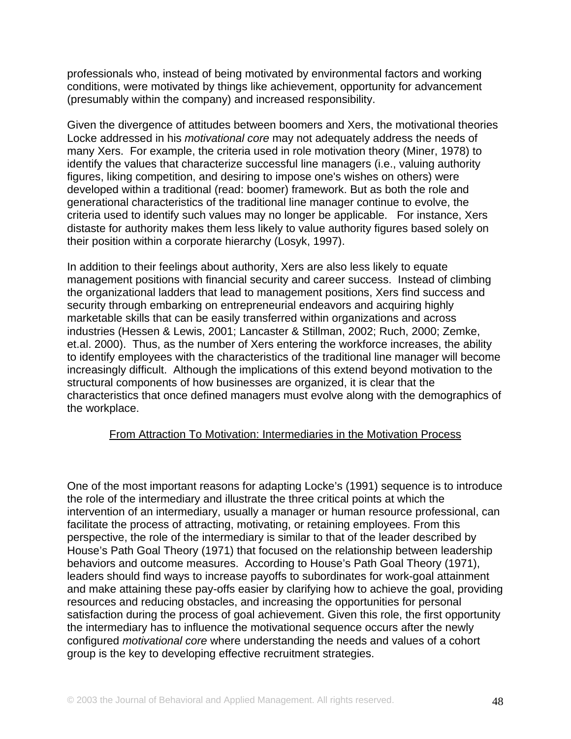professionals who, instead of being motivated by environmental factors and working conditions, were motivated by things like achievement, opportunity for advancement (presumably within the company) and increased responsibility.

Given the divergence of attitudes between boomers and Xers, the motivational theories Locke addressed in his *motivational core* may not adequately address the needs of many Xers. For example, the criteria used in role motivation theory (Miner, 1978) to identify the values that characterize successful line managers (i.e., valuing authority figures, liking competition, and desiring to impose one's wishes on others) were developed within a traditional (read: boomer) framework. But as both the role and generational characteristics of the traditional line manager continue to evolve, the criteria used to identify such values may no longer be applicable. For instance, Xers distaste for authority makes them less likely to value authority figures based solely on their position within a corporate hierarchy (Losyk, 1997).

In addition to their feelings about authority, Xers are also less likely to equate management positions with financial security and career success. Instead of climbing the organizational ladders that lead to management positions, Xers find success and security through embarking on entrepreneurial endeavors and acquiring highly marketable skills that can be easily transferred within organizations and across industries (Hessen & Lewis, 2001; Lancaster & Stillman, 2002; Ruch, 2000; Zemke, et.al. 2000). Thus, as the number of Xers entering the workforce increases, the ability to identify employees with the characteristics of the traditional line manager will become increasingly difficult. Although the implications of this extend beyond motivation to the structural components of how businesses are organized, it is clear that the characteristics that once defined managers must evolve along with the demographics of the workplace.

### From Attraction To Motivation: Intermediaries in the Motivation Process

One of the most important reasons for adapting Locke's (1991) sequence is to introduce the role of the intermediary and illustrate the three critical points at which the intervention of an intermediary, usually a manager or human resource professional, can facilitate the process of attracting, motivating, or retaining employees. From this perspective, the role of the intermediary is similar to that of the leader described by House's Path Goal Theory (1971) that focused on the relationship between leadership behaviors and outcome measures. According to House's Path Goal Theory (1971), leaders should find ways to increase payoffs to subordinates for work-goal attainment and make attaining these pay-offs easier by clarifying how to achieve the goal, providing resources and reducing obstacles, and increasing the opportunities for personal satisfaction during the process of goal achievement. Given this role, the first opportunity the intermediary has to influence the motivational sequence occurs after the newly configured *motivational core* where understanding the needs and values of a cohort group is the key to developing effective recruitment strategies.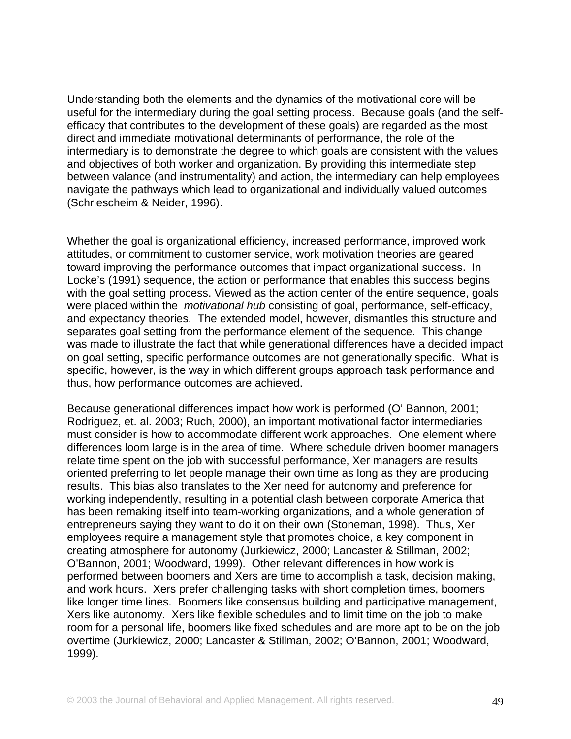Understanding both the elements and the dynamics of the motivational core will be useful for the intermediary during the goal setting process. Because goals (and the selfefficacy that contributes to the development of these goals) are regarded as the most direct and immediate motivational determinants of performance, the role of the intermediary is to demonstrate the degree to which goals are consistent with the values and objectives of both worker and organization. By providing this intermediate step between valance (and instrumentality) and action, the intermediary can help employees navigate the pathways which lead to organizational and individually valued outcomes (Schriescheim & Neider, 1996).

Whether the goal is organizational efficiency, increased performance, improved work attitudes, or commitment to customer service, work motivation theories are geared toward improving the performance outcomes that impact organizational success. In Locke's (1991) sequence, the action or performance that enables this success begins with the goal setting process. Viewed as the action center of the entire sequence, goals were placed within the *motivational hub* consisting of goal, performance, self-efficacy, and expectancy theories. The extended model, however, dismantles this structure and separates goal setting from the performance element of the sequence. This change was made to illustrate the fact that while generational differences have a decided impact on goal setting, specific performance outcomes are not generationally specific. What is specific, however, is the way in which different groups approach task performance and thus, how performance outcomes are achieved.

Because generational differences impact how work is performed (O' Bannon, 2001; Rodriguez, et. al. 2003; Ruch, 2000), an important motivational factor intermediaries must consider is how to accommodate different work approaches. One element where differences loom large is in the area of time. Where schedule driven boomer managers relate time spent on the job with successful performance, Xer managers are results oriented preferring to let people manage their own time as long as they are producing results. This bias also translates to the Xer need for autonomy and preference for working independently, resulting in a potential clash between corporate America that has been remaking itself into team-working organizations, and a whole generation of entrepreneurs saying they want to do it on their own (Stoneman, 1998). Thus, Xer employees require a management style that promotes choice, a key component in creating atmosphere for autonomy (Jurkiewicz, 2000; Lancaster & Stillman, 2002; O'Bannon, 2001; Woodward, 1999). Other relevant differences in how work is performed between boomers and Xers are time to accomplish a task, decision making, and work hours. Xers prefer challenging tasks with short completion times, boomers like longer time lines. Boomers like consensus building and participative management, Xers like autonomy. Xers like flexible schedules and to limit time on the job to make room for a personal life, boomers like fixed schedules and are more apt to be on the job overtime (Jurkiewicz, 2000; Lancaster & Stillman, 2002; O'Bannon, 2001; Woodward, 1999).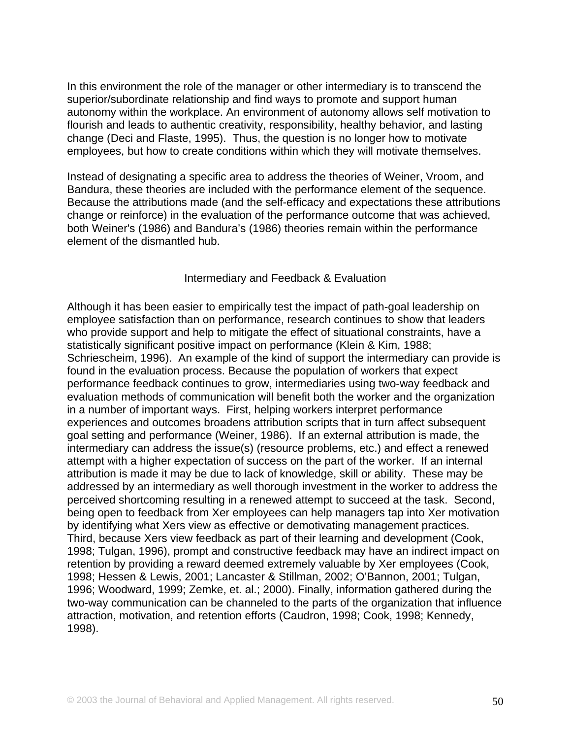In this environment the role of the manager or other intermediary is to transcend the superior/subordinate relationship and find ways to promote and support human autonomy within the workplace. An environment of autonomy allows self motivation to flourish and leads to authentic creativity, responsibility, healthy behavior, and lasting change (Deci and Flaste, 1995). Thus, the question is no longer how to motivate employees, but how to create conditions within which they will motivate themselves.

Instead of designating a specific area to address the theories of Weiner, Vroom, and Bandura, these theories are included with the performance element of the sequence. Because the attributions made (and the self-efficacy and expectations these attributions change or reinforce) in the evaluation of the performance outcome that was achieved, both Weiner's (1986) and Bandura's (1986) theories remain within the performance element of the dismantled hub.

### Intermediary and Feedback & Evaluation

Although it has been easier to empirically test the impact of path-goal leadership on employee satisfaction than on performance, research continues to show that leaders who provide support and help to mitigate the effect of situational constraints, have a statistically significant positive impact on performance (Klein & Kim, 1988; Schriescheim, 1996). An example of the kind of support the intermediary can provide is found in the evaluation process. Because the population of workers that expect performance feedback continues to grow, intermediaries using two-way feedback and evaluation methods of communication will benefit both the worker and the organization in a number of important ways. First, helping workers interpret performance experiences and outcomes broadens attribution scripts that in turn affect subsequent goal setting and performance (Weiner, 1986). If an external attribution is made, the intermediary can address the issue(s) (resource problems, etc.) and effect a renewed attempt with a higher expectation of success on the part of the worker. If an internal attribution is made it may be due to lack of knowledge, skill or ability. These may be addressed by an intermediary as well thorough investment in the worker to address the perceived shortcoming resulting in a renewed attempt to succeed at the task. Second, being open to feedback from Xer employees can help managers tap into Xer motivation by identifying what Xers view as effective or demotivating management practices. Third, because Xers view feedback as part of their learning and development (Cook, 1998; Tulgan, 1996), prompt and constructive feedback may have an indirect impact on retention by providing a reward deemed extremely valuable by Xer employees (Cook, 1998; Hessen & Lewis, 2001; Lancaster & Stillman, 2002; O'Bannon, 2001; Tulgan, 1996; Woodward, 1999; Zemke, et. al.; 2000). Finally, information gathered during the two-way communication can be channeled to the parts of the organization that influence attraction, motivation, and retention efforts (Caudron, 1998; Cook, 1998; Kennedy, 1998).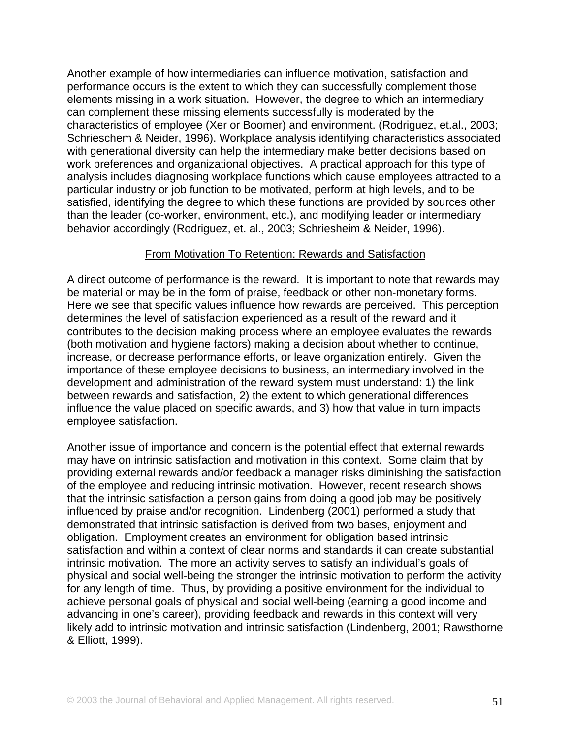Another example of how intermediaries can influence motivation, satisfaction and performance occurs is the extent to which they can successfully complement those elements missing in a work situation. However, the degree to which an intermediary can complement these missing elements successfully is moderated by the characteristics of employee (Xer or Boomer) and environment. (Rodriguez, et.al., 2003; Schrieschem & Neider, 1996). Workplace analysis identifying characteristics associated with generational diversity can help the intermediary make better decisions based on work preferences and organizational objectives. A practical approach for this type of analysis includes diagnosing workplace functions which cause employees attracted to a particular industry or job function to be motivated, perform at high levels, and to be satisfied, identifying the degree to which these functions are provided by sources other than the leader (co-worker, environment, etc.), and modifying leader or intermediary behavior accordingly (Rodriguez, et. al., 2003; Schriesheim & Neider, 1996).

### From Motivation To Retention: Rewards and Satisfaction

A direct outcome of performance is the reward. It is important to note that rewards may be material or may be in the form of praise, feedback or other non-monetary forms. Here we see that specific values influence how rewards are perceived. This perception determines the level of satisfaction experienced as a result of the reward and it contributes to the decision making process where an employee evaluates the rewards (both motivation and hygiene factors) making a decision about whether to continue, increase, or decrease performance efforts, or leave organization entirely. Given the importance of these employee decisions to business, an intermediary involved in the development and administration of the reward system must understand: 1) the link between rewards and satisfaction, 2) the extent to which generational differences influence the value placed on specific awards, and 3) how that value in turn impacts employee satisfaction.

Another issue of importance and concern is the potential effect that external rewards may have on intrinsic satisfaction and motivation in this context. Some claim that by providing external rewards and/or feedback a manager risks diminishing the satisfaction of the employee and reducing intrinsic motivation. However, recent research shows that the intrinsic satisfaction a person gains from doing a good job may be positively influenced by praise and/or recognition. Lindenberg (2001) performed a study that demonstrated that intrinsic satisfaction is derived from two bases, enjoyment and obligation. Employment creates an environment for obligation based intrinsic satisfaction and within a context of clear norms and standards it can create substantial intrinsic motivation. The more an activity serves to satisfy an individual's goals of physical and social well-being the stronger the intrinsic motivation to perform the activity for any length of time. Thus, by providing a positive environment for the individual to achieve personal goals of physical and social well-being (earning a good income and advancing in one's career), providing feedback and rewards in this context will very likely add to intrinsic motivation and intrinsic satisfaction (Lindenberg, 2001; Rawsthorne & Elliott, 1999).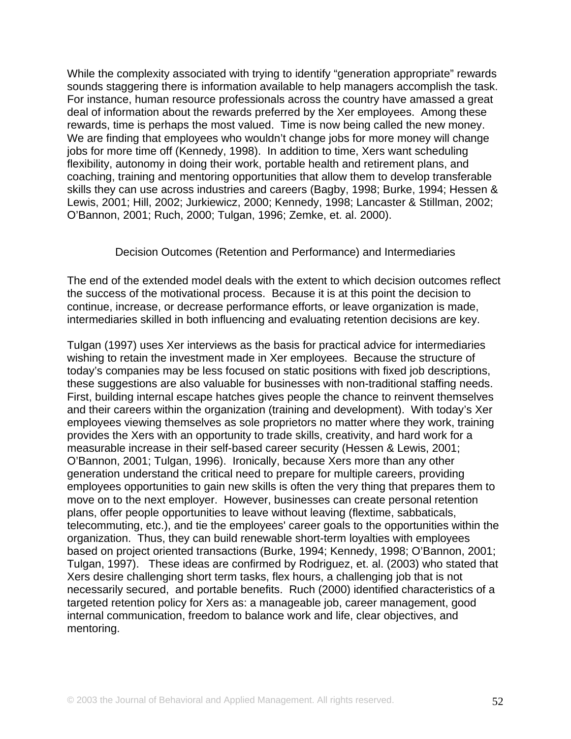While the complexity associated with trying to identify "generation appropriate" rewards sounds staggering there is information available to help managers accomplish the task. For instance, human resource professionals across the country have amassed a great deal of information about the rewards preferred by the Xer employees. Among these rewards, time is perhaps the most valued. Time is now being called the new money. We are finding that employees who wouldn't change jobs for more money will change jobs for more time off (Kennedy, 1998). In addition to time, Xers want scheduling flexibility, autonomy in doing their work, portable health and retirement plans, and coaching, training and mentoring opportunities that allow them to develop transferable skills they can use across industries and careers (Bagby, 1998; Burke, 1994; Hessen & Lewis, 2001; Hill, 2002; Jurkiewicz, 2000; Kennedy, 1998; Lancaster & Stillman, 2002; O'Bannon, 2001; Ruch, 2000; Tulgan, 1996; Zemke, et. al. 2000).

### Decision Outcomes (Retention and Performance) and Intermediaries

The end of the extended model deals with the extent to which decision outcomes reflect the success of the motivational process. Because it is at this point the decision to continue, increase, or decrease performance efforts, or leave organization is made, intermediaries skilled in both influencing and evaluating retention decisions are key.

Tulgan (1997) uses Xer interviews as the basis for practical advice for intermediaries wishing to retain the investment made in Xer employees. Because the structure of today's companies may be less focused on static positions with fixed job descriptions, these suggestions are also valuable for businesses with non-traditional staffing needs. First, building internal escape hatches gives people the chance to reinvent themselves and their careers within the organization (training and development). With today's Xer employees viewing themselves as sole proprietors no matter where they work, training provides the Xers with an opportunity to trade skills, creativity, and hard work for a measurable increase in their self-based career security (Hessen & Lewis, 2001; O'Bannon, 2001; Tulgan, 1996). Ironically, because Xers more than any other generation understand the critical need to prepare for multiple careers, providing employees opportunities to gain new skills is often the very thing that prepares them to move on to the next employer. However, businesses can create personal retention plans, offer people opportunities to leave without leaving (flextime, sabbaticals, telecommuting, etc.), and tie the employees' career goals to the opportunities within the organization. Thus, they can build renewable short-term loyalties with employees based on project oriented transactions (Burke, 1994; Kennedy, 1998; O'Bannon, 2001; Tulgan, 1997). These ideas are confirmed by Rodriguez, et. al. (2003) who stated that Xers desire challenging short term tasks, flex hours, a challenging job that is not necessarily secured, and portable benefits. Ruch (2000) identified characteristics of a targeted retention policy for Xers as: a manageable job, career management, good internal communication, freedom to balance work and life, clear objectives, and mentoring.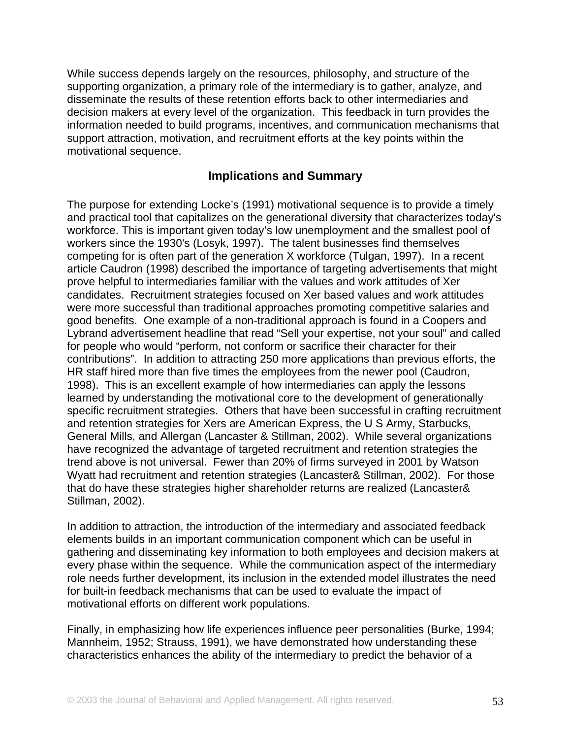While success depends largely on the resources, philosophy, and structure of the supporting organization, a primary role of the intermediary is to gather, analyze, and disseminate the results of these retention efforts back to other intermediaries and decision makers at every level of the organization. This feedback in turn provides the information needed to build programs, incentives, and communication mechanisms that support attraction, motivation, and recruitment efforts at the key points within the motivational sequence.

### **Implications and Summary**

The purpose for extending Locke's (1991) motivational sequence is to provide a timely and practical tool that capitalizes on the generational diversity that characterizes today's workforce. This is important given today's low unemployment and the smallest pool of workers since the 1930's (Losyk, 1997). The talent businesses find themselves competing for is often part of the generation X workforce (Tulgan, 1997). In a recent article Caudron (1998) described the importance of targeting advertisements that might prove helpful to intermediaries familiar with the values and work attitudes of Xer candidates. Recruitment strategies focused on Xer based values and work attitudes were more successful than traditional approaches promoting competitive salaries and good benefits. One example of a non-traditional approach is found in a Coopers and Lybrand advertisement headline that read "Sell your expertise, not your soul" and called for people who would "perform, not conform or sacrifice their character for their contributions". In addition to attracting 250 more applications than previous efforts, the HR staff hired more than five times the employees from the newer pool (Caudron, 1998). This is an excellent example of how intermediaries can apply the lessons learned by understanding the motivational core to the development of generationally specific recruitment strategies. Others that have been successful in crafting recruitment and retention strategies for Xers are American Express, the U S Army, Starbucks, General Mills, and Allergan (Lancaster & Stillman, 2002). While several organizations have recognized the advantage of targeted recruitment and retention strategies the trend above is not universal. Fewer than 20% of firms surveyed in 2001 by Watson Wyatt had recruitment and retention strategies (Lancaster& Stillman, 2002). For those that do have these strategies higher shareholder returns are realized (Lancaster& Stillman, 2002).

In addition to attraction, the introduction of the intermediary and associated feedback elements builds in an important communication component which can be useful in gathering and disseminating key information to both employees and decision makers at every phase within the sequence. While the communication aspect of the intermediary role needs further development, its inclusion in the extended model illustrates the need for built-in feedback mechanisms that can be used to evaluate the impact of motivational efforts on different work populations.

Finally, in emphasizing how life experiences influence peer personalities (Burke, 1994; Mannheim, 1952; Strauss, 1991), we have demonstrated how understanding these characteristics enhances the ability of the intermediary to predict the behavior of a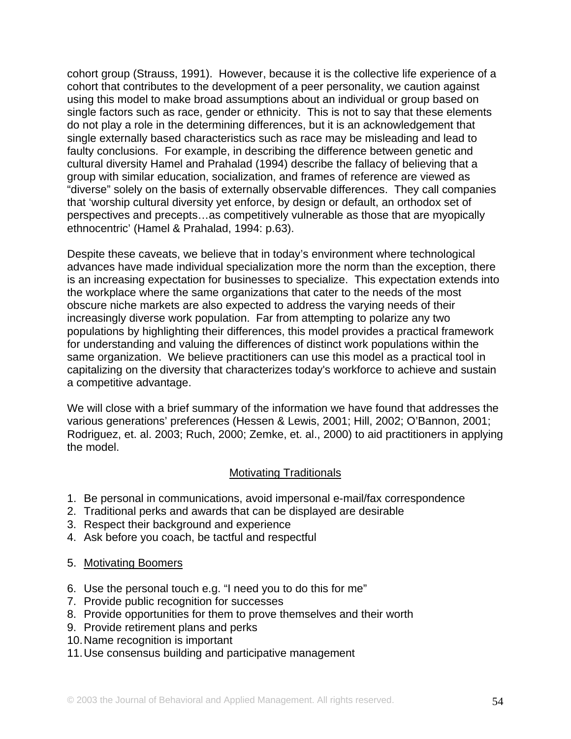cohort group (Strauss, 1991). However, because it is the collective life experience of a cohort that contributes to the development of a peer personality, we caution against using this model to make broad assumptions about an individual or group based on single factors such as race, gender or ethnicity. This is not to say that these elements do not play a role in the determining differences, but it is an acknowledgement that single externally based characteristics such as race may be misleading and lead to faulty conclusions. For example, in describing the difference between genetic and cultural diversity Hamel and Prahalad (1994) describe the fallacy of believing that a group with similar education, socialization, and frames of reference are viewed as "diverse" solely on the basis of externally observable differences. They call companies that 'worship cultural diversity yet enforce, by design or default, an orthodox set of perspectives and precepts…as competitively vulnerable as those that are myopically ethnocentric' (Hamel & Prahalad, 1994: p.63).

Despite these caveats, we believe that in today's environment where technological advances have made individual specialization more the norm than the exception, there is an increasing expectation for businesses to specialize. This expectation extends into the workplace where the same organizations that cater to the needs of the most obscure niche markets are also expected to address the varying needs of their increasingly diverse work population. Far from attempting to polarize any two populations by highlighting their differences, this model provides a practical framework for understanding and valuing the differences of distinct work populations within the same organization. We believe practitioners can use this model as a practical tool in capitalizing on the diversity that characterizes today's workforce to achieve and sustain a competitive advantage.

We will close with a brief summary of the information we have found that addresses the various generations' preferences (Hessen & Lewis, 2001; Hill, 2002; O'Bannon, 2001; Rodriguez, et. al. 2003; Ruch, 2000; Zemke, et. al., 2000) to aid practitioners in applying the model.

# Motivating Traditionals

- 1. Be personal in communications, avoid impersonal e-mail/fax correspondence
- 2. Traditional perks and awards that can be displayed are desirable
- 3. Respect their background and experience
- 4. Ask before you coach, be tactful and respectful
- 5. Motivating Boomers
- 6. Use the personal touch e.g. "I need you to do this for me"
- 7. Provide public recognition for successes
- 8. Provide opportunities for them to prove themselves and their worth
- 9. Provide retirement plans and perks
- 10. Name recognition is important
- 11. Use consensus building and participative management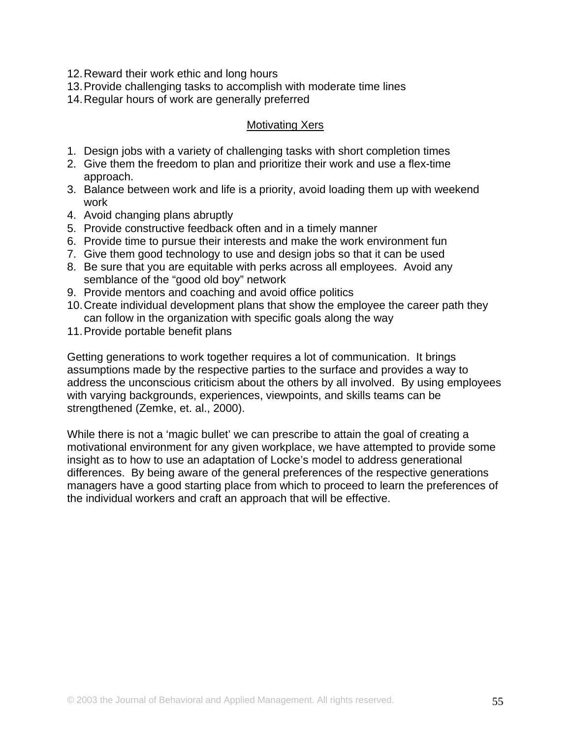- 12. Reward their work ethic and long hours
- 13. Provide challenging tasks to accomplish with moderate time lines
- 14. Regular hours of work are generally preferred

### Motivating Xers

- 1. Design jobs with a variety of challenging tasks with short completion times
- 2. Give them the freedom to plan and prioritize their work and use a flex-time approach.
- 3. Balance between work and life is a priority, avoid loading them up with weekend work
- 4. Avoid changing plans abruptly
- 5. Provide constructive feedback often and in a timely manner
- 6. Provide time to pursue their interests and make the work environment fun
- 7. Give them good technology to use and design jobs so that it can be used
- 8. Be sure that you are equitable with perks across all employees. Avoid any semblance of the "good old boy" network
- 9. Provide mentors and coaching and avoid office politics
- 10. Create individual development plans that show the employee the career path they can follow in the organization with specific goals along the way
- 11. Provide portable benefit plans

Getting generations to work together requires a lot of communication. It brings assumptions made by the respective parties to the surface and provides a way to address the unconscious criticism about the others by all involved. By using employees with varying backgrounds, experiences, viewpoints, and skills teams can be strengthened (Zemke, et. al., 2000).

While there is not a 'magic bullet' we can prescribe to attain the goal of creating a motivational environment for any given workplace, we have attempted to provide some insight as to how to use an adaptation of Locke's model to address generational differences. By being aware of the general preferences of the respective generations managers have a good starting place from which to proceed to learn the preferences of the individual workers and craft an approach that will be effective.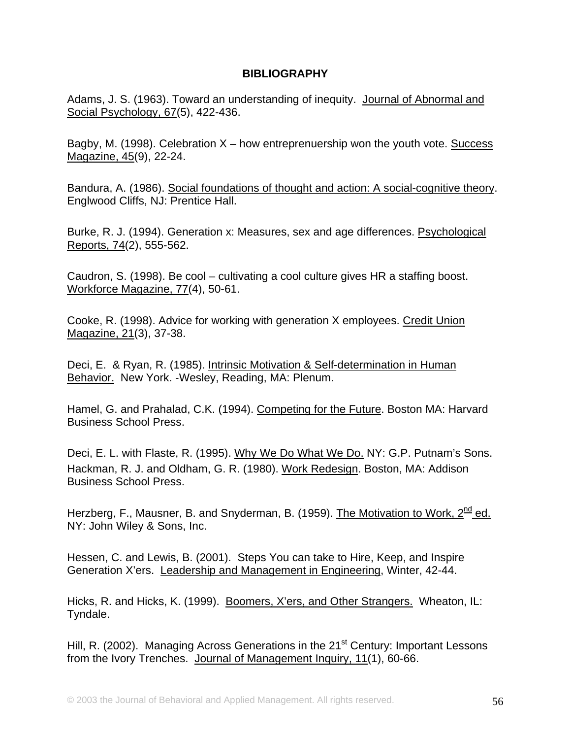### **BIBLIOGRAPHY**

Adams, J. S. (1963). Toward an understanding of inequity. Journal of Abnormal and Social Psychology, 67(5), 422-436.

Bagby, M. (1998). Celebration  $X$  – how entreprenuership won the youth vote. Success Magazine, 45(9), 22-24.

Bandura, A. (1986). Social foundations of thought and action: A social-cognitive theory. Englwood Cliffs, NJ: Prentice Hall.

Burke, R. J. (1994). Generation x: Measures, sex and age differences. Psychological Reports, 74(2), 555-562.

Caudron, S. (1998). Be cool – cultivating a cool culture gives HR a staffing boost. Workforce Magazine, 77(4), 50-61.

Cooke, R. (1998). Advice for working with generation X employees. Credit Union Magazine, 21(3), 37-38.

Deci, E. & Ryan, R. (1985). Intrinsic Motivation & Self-determination in Human Behavior.New York. -Wesley, Reading, MA: Plenum.

Hamel, G. and Prahalad, C.K. (1994). Competing for the Future. Boston MA: Harvard Business School Press.

Deci, E. L. with Flaste, R. (1995). Why We Do What We Do. NY: G.P. Putnam's Sons. Hackman, R. J. and Oldham, G. R. (1980). Work Redesign. Boston, MA: Addison Business School Press.

Herzberg, F., Mausner, B. and Snyderman, B. (1959). The Motivation to Work, 2<sup>nd</sup> ed. NY: John Wiley & Sons, Inc.

Hessen, C. and Lewis, B. (2001). Steps You can take to Hire, Keep, and Inspire Generation X'ers. Leadership and Management in Engineering, Winter, 42-44.

Hicks, R. and Hicks, K. (1999). Boomers, X'ers, and Other Strangers. Wheaton, IL: Tyndale.

Hill, R. (2002). Managing Across Generations in the 21<sup>st</sup> Century: Important Lessons from the Ivory Trenches. Journal of Management Inquiry, 11(1), 60-66.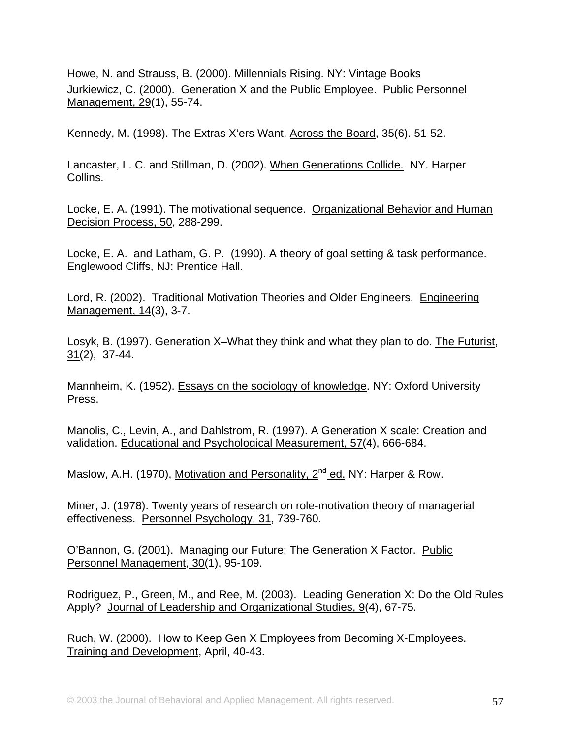Howe, N. and Strauss, B. (2000). Millennials Rising. NY: Vintage Books Jurkiewicz, C. (2000). Generation X and the Public Employee. Public Personnel Management, 29(1), 55-74.

Kennedy, M. (1998). The Extras X'ers Want. Across the Board, 35(6). 51-52.

Lancaster, L. C. and Stillman, D. (2002). When Generations Collide. NY. Harper Collins.

Locke, E. A. (1991). The motivational sequence. Organizational Behavior and Human Decision Process, 50, 288-299.

Locke, E. A. and Latham, G. P. (1990). A theory of goal setting & task performance. Englewood Cliffs, NJ: Prentice Hall.

Lord, R. (2002). Traditional Motivation Theories and Older Engineers. Engineering Management, 14(3), 3-7.

Losyk, B. (1997). Generation X–What they think and what they plan to do. The Futurist, 31(2), 37-44.

Mannheim, K. (1952). Essays on the sociology of knowledge. NY: Oxford University Press.

Manolis, C., Levin, A., and Dahlstrom, R. (1997). A Generation X scale: Creation and validation. Educational and Psychological Measurement, 57(4), 666-684.

Maslow, A.H. (1970), Motivation and Personality,  $2<sup>nd</sup>$  ed. NY: Harper & Row.

Miner, J. (1978). Twenty years of research on role-motivation theory of managerial effectiveness. Personnel Psychology, 31, 739-760.

O'Bannon, G. (2001). Managing our Future: The Generation X Factor. Public Personnel Management, 30(1), 95-109.

Rodriguez, P., Green, M., and Ree, M. (2003). Leading Generation X: Do the Old Rules Apply? Journal of Leadership and Organizational Studies, 9(4), 67-75.

Ruch, W. (2000). How to Keep Gen X Employees from Becoming X-Employees. Training and Development, April, 40-43.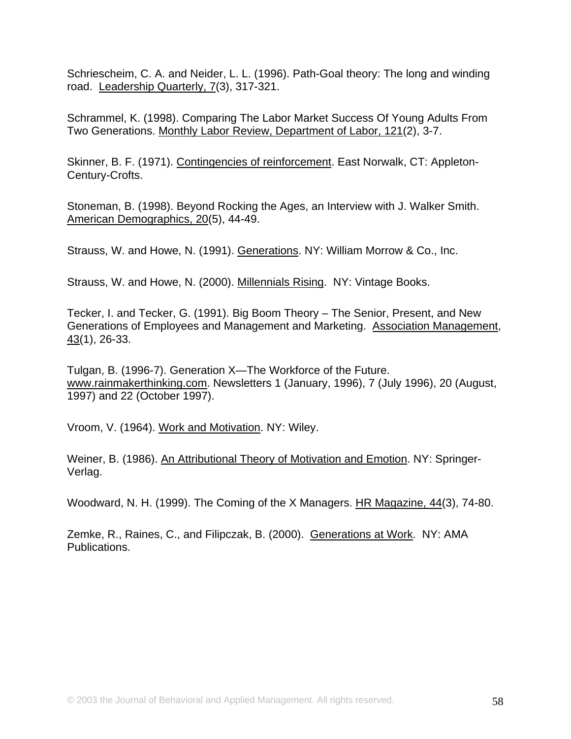Schriescheim, C. A. and Neider, L. L. (1996). Path-Goal theory: The long and winding road. Leadership Quarterly, 7(3), 317-321.

Schrammel, K. (1998). Comparing The Labor Market Success Of Young Adults From Two Generations. Monthly Labor Review, Department of Labor, 121(2), 3-7.

Skinner, B. F. (1971). Contingencies of reinforcement. East Norwalk, CT: Appleton-Century-Crofts.

Stoneman, B. (1998). Beyond Rocking the Ages, an Interview with J. Walker Smith. American Demographics, 20(5), 44-49.

Strauss, W. and Howe, N. (1991). Generations. NY: William Morrow & Co., Inc.

Strauss, W. and Howe, N. (2000). Millennials Rising. NY: Vintage Books.

Tecker, I. and Tecker, G. (1991). Big Boom Theory – The Senior, Present, and New Generations of Employees and Management and Marketing. Association Management, 43(1), 26-33.

Tulgan, B. (1996-7). Generation X—The Workforce of the Future. www.rainmakerthinking.com. Newsletters 1 (January, 1996), 7 (July 1996), 20 (August, 1997) and 22 (October 1997).

Vroom, V. (1964). Work and Motivation. NY: Wiley.

Weiner, B. (1986). An Attributional Theory of Motivation and Emotion. NY: Springer-Verlag.

Woodward, N. H. (1999). The Coming of the X Managers. HR Magazine, 44(3), 74-80.

Zemke, R., Raines, C., and Filipczak, B. (2000). Generations at Work. NY: AMA Publications.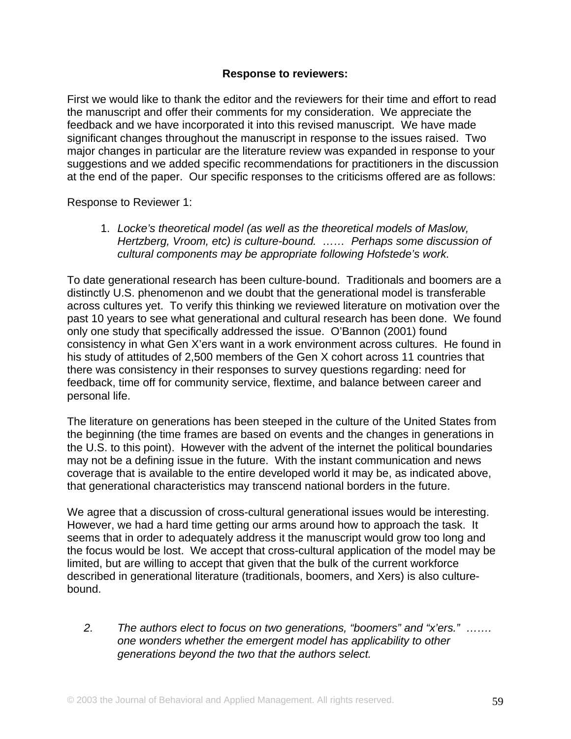### **Response to reviewers:**

First we would like to thank the editor and the reviewers for their time and effort to read the manuscript and offer their comments for my consideration. We appreciate the feedback and we have incorporated it into this revised manuscript. We have made significant changes throughout the manuscript in response to the issues raised. Two major changes in particular are the literature review was expanded in response to your suggestions and we added specific recommendations for practitioners in the discussion at the end of the paper. Our specific responses to the criticisms offered are as follows:

Response to Reviewer 1:

1. *Locke's theoretical model (as well as the theoretical models of Maslow, Hertzberg, Vroom, etc) is culture-bound. …… Perhaps some discussion of cultural components may be appropriate following Hofstede's work.*

To date generational research has been culture-bound. Traditionals and boomers are a distinctly U.S. phenomenon and we doubt that the generational model is transferable across cultures yet. To verify this thinking we reviewed literature on motivation over the past 10 years to see what generational and cultural research has been done. We found only one study that specifically addressed the issue. O'Bannon (2001) found consistency in what Gen X'ers want in a work environment across cultures. He found in his study of attitudes of 2,500 members of the Gen X cohort across 11 countries that there was consistency in their responses to survey questions regarding: need for feedback, time off for community service, flextime, and balance between career and personal life.

The literature on generations has been steeped in the culture of the United States from the beginning (the time frames are based on events and the changes in generations in the U.S. to this point). However with the advent of the internet the political boundaries may not be a defining issue in the future. With the instant communication and news coverage that is available to the entire developed world it may be, as indicated above, that generational characteristics may transcend national borders in the future.

We agree that a discussion of cross-cultural generational issues would be interesting. However, we had a hard time getting our arms around how to approach the task. It seems that in order to adequately address it the manuscript would grow too long and the focus would be lost. We accept that cross-cultural application of the model may be limited, but are willing to accept that given that the bulk of the current workforce described in generational literature (traditionals, boomers, and Xers) is also culturebound.

*2. The authors elect to focus on two generations, "boomers" and "x'ers." ……. one wonders whether the emergent model has applicability to other generations beyond the two that the authors select.*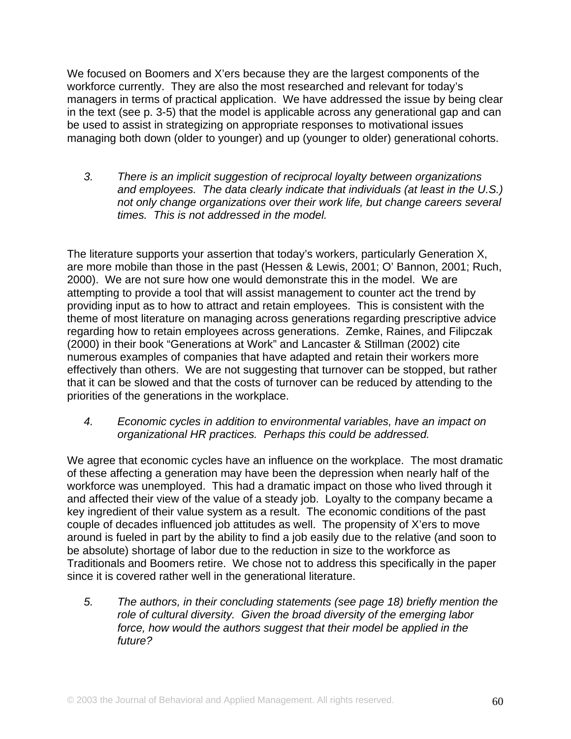We focused on Boomers and X'ers because they are the largest components of the workforce currently. They are also the most researched and relevant for today's managers in terms of practical application. We have addressed the issue by being clear in the text (see p. 3-5) that the model is applicable across any generational gap and can be used to assist in strategizing on appropriate responses to motivational issues managing both down (older to younger) and up (younger to older) generational cohorts.

*3. There is an implicit suggestion of reciprocal loyalty between organizations and employees. The data clearly indicate that individuals (at least in the U.S.) not only change organizations over their work life, but change careers several times. This is not addressed in the model.* 

The literature supports your assertion that today's workers, particularly Generation X, are more mobile than those in the past (Hessen & Lewis, 2001; O' Bannon, 2001; Ruch, 2000). We are not sure how one would demonstrate this in the model. We are attempting to provide a tool that will assist management to counter act the trend by providing input as to how to attract and retain employees. This is consistent with the theme of most literature on managing across generations regarding prescriptive advice regarding how to retain employees across generations. Zemke, Raines, and Filipczak (2000) in their book "Generations at Work" and Lancaster & Stillman (2002) cite numerous examples of companies that have adapted and retain their workers more effectively than others. We are not suggesting that turnover can be stopped, but rather that it can be slowed and that the costs of turnover can be reduced by attending to the priorities of the generations in the workplace.

# *4. Economic cycles in addition to environmental variables, have an impact on organizational HR practices. Perhaps this could be addressed.*

We agree that economic cycles have an influence on the workplace. The most dramatic of these affecting a generation may have been the depression when nearly half of the workforce was unemployed. This had a dramatic impact on those who lived through it and affected their view of the value of a steady job. Loyalty to the company became a key ingredient of their value system as a result. The economic conditions of the past couple of decades influenced job attitudes as well. The propensity of X'ers to move around is fueled in part by the ability to find a job easily due to the relative (and soon to be absolute) shortage of labor due to the reduction in size to the workforce as Traditionals and Boomers retire. We chose not to address this specifically in the paper since it is covered rather well in the generational literature.

*5. The authors, in their concluding statements (see page 18) briefly mention the role of cultural diversity. Given the broad diversity of the emerging labor force, how would the authors suggest that their model be applied in the future?*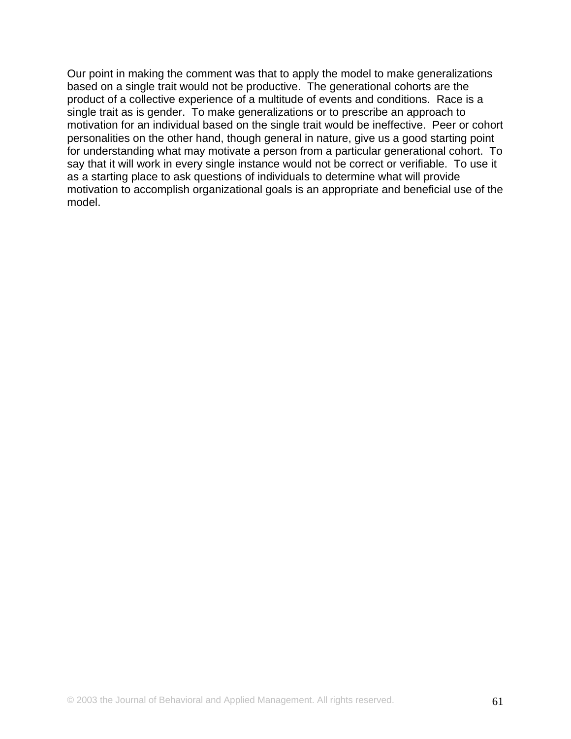Our point in making the comment was that to apply the model to make generalizations based on a single trait would not be productive. The generational cohorts are the product of a collective experience of a multitude of events and conditions. Race is a single trait as is gender. To make generalizations or to prescribe an approach to motivation for an individual based on the single trait would be ineffective. Peer or cohort personalities on the other hand, though general in nature, give us a good starting point for understanding what may motivate a person from a particular generational cohort. To say that it will work in every single instance would not be correct or verifiable. To use it as a starting place to ask questions of individuals to determine what will provide motivation to accomplish organizational goals is an appropriate and beneficial use of the model.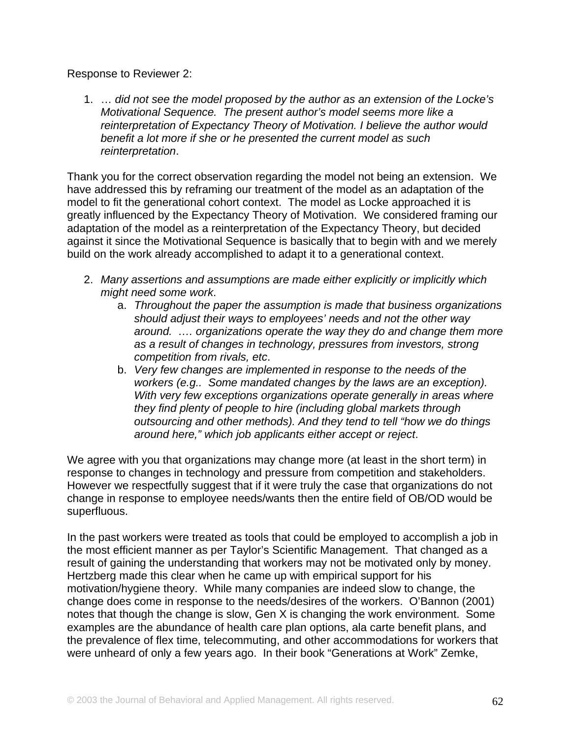Response to Reviewer 2:

1. … *did not see the model proposed by the author as an extension of the Locke's Motivational Sequence. The present author's model seems more like a reinterpretation of Expectancy Theory of Motivation. I believe the author would benefit a lot more if she or he presented the current model as such reinterpretation*.

Thank you for the correct observation regarding the model not being an extension. We have addressed this by reframing our treatment of the model as an adaptation of the model to fit the generational cohort context. The model as Locke approached it is greatly influenced by the Expectancy Theory of Motivation. We considered framing our adaptation of the model as a reinterpretation of the Expectancy Theory, but decided against it since the Motivational Sequence is basically that to begin with and we merely build on the work already accomplished to adapt it to a generational context.

- 2. *Many assertions and assumptions are made either explicitly or implicitly which might need some work*.
	- a. *Throughout the paper the assumption is made that business organizations should adjust their ways to employees' needs and not the other way around. …. organizations operate the way they do and change them more as a result of changes in technology, pressures from investors, strong competition from rivals, etc*.
	- b. *Very few changes are implemented in response to the needs of the workers (e.g.. Some mandated changes by the laws are an exception). With very few exceptions organizations operate generally in areas where they find plenty of people to hire (including global markets through outsourcing and other methods). And they tend to tell "how we do things around here," which job applicants either accept or reject*.

We agree with you that organizations may change more (at least in the short term) in response to changes in technology and pressure from competition and stakeholders. However we respectfully suggest that if it were truly the case that organizations do not change in response to employee needs/wants then the entire field of OB/OD would be superfluous.

In the past workers were treated as tools that could be employed to accomplish a job in the most efficient manner as per Taylor's Scientific Management. That changed as a result of gaining the understanding that workers may not be motivated only by money. Hertzberg made this clear when he came up with empirical support for his motivation/hygiene theory. While many companies are indeed slow to change, the change does come in response to the needs/desires of the workers. O'Bannon (2001) notes that though the change is slow, Gen X is changing the work environment. Some examples are the abundance of health care plan options, ala carte benefit plans, and the prevalence of flex time, telecommuting, and other accommodations for workers that were unheard of only a few years ago. In their book "Generations at Work" Zemke,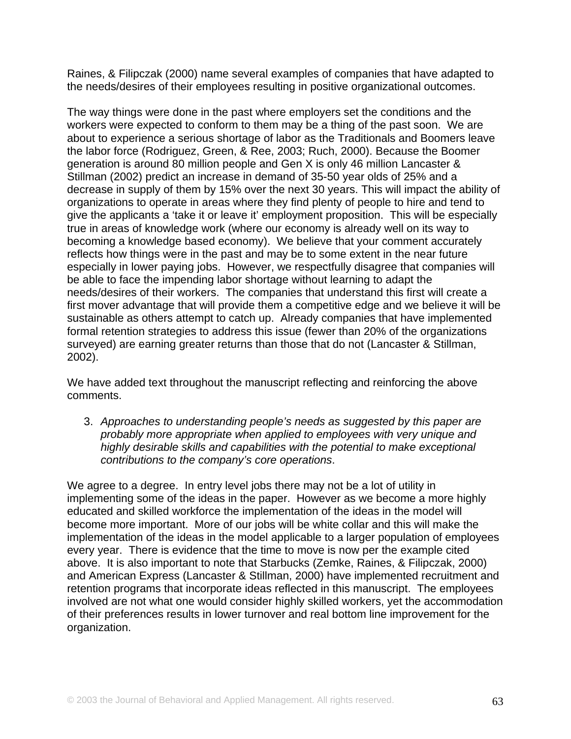Raines, & Filipczak (2000) name several examples of companies that have adapted to the needs/desires of their employees resulting in positive organizational outcomes.

The way things were done in the past where employers set the conditions and the workers were expected to conform to them may be a thing of the past soon. We are about to experience a serious shortage of labor as the Traditionals and Boomers leave the labor force (Rodriguez, Green, & Ree, 2003; Ruch, 2000). Because the Boomer generation is around 80 million people and Gen X is only 46 million Lancaster & Stillman (2002) predict an increase in demand of 35-50 year olds of 25% and a decrease in supply of them by 15% over the next 30 years. This will impact the ability of organizations to operate in areas where they find plenty of people to hire and tend to give the applicants a 'take it or leave it' employment proposition. This will be especially true in areas of knowledge work (where our economy is already well on its way to becoming a knowledge based economy). We believe that your comment accurately reflects how things were in the past and may be to some extent in the near future especially in lower paying jobs. However, we respectfully disagree that companies will be able to face the impending labor shortage without learning to adapt the needs/desires of their workers. The companies that understand this first will create a first mover advantage that will provide them a competitive edge and we believe it will be sustainable as others attempt to catch up. Already companies that have implemented formal retention strategies to address this issue (fewer than 20% of the organizations surveyed) are earning greater returns than those that do not (Lancaster & Stillman, 2002).

We have added text throughout the manuscript reflecting and reinforcing the above comments.

3. *Approaches to understanding people's needs as suggested by this paper are probably more appropriate when applied to employees with very unique and highly desirable skills and capabilities with the potential to make exceptional contributions to the company's core operations*.

We agree to a degree. In entry level jobs there may not be a lot of utility in implementing some of the ideas in the paper. However as we become a more highly educated and skilled workforce the implementation of the ideas in the model will become more important. More of our jobs will be white collar and this will make the implementation of the ideas in the model applicable to a larger population of employees every year. There is evidence that the time to move is now per the example cited above. It is also important to note that Starbucks (Zemke, Raines, & Filipczak, 2000) and American Express (Lancaster & Stillman, 2000) have implemented recruitment and retention programs that incorporate ideas reflected in this manuscript. The employees involved are not what one would consider highly skilled workers, yet the accommodation of their preferences results in lower turnover and real bottom line improvement for the organization.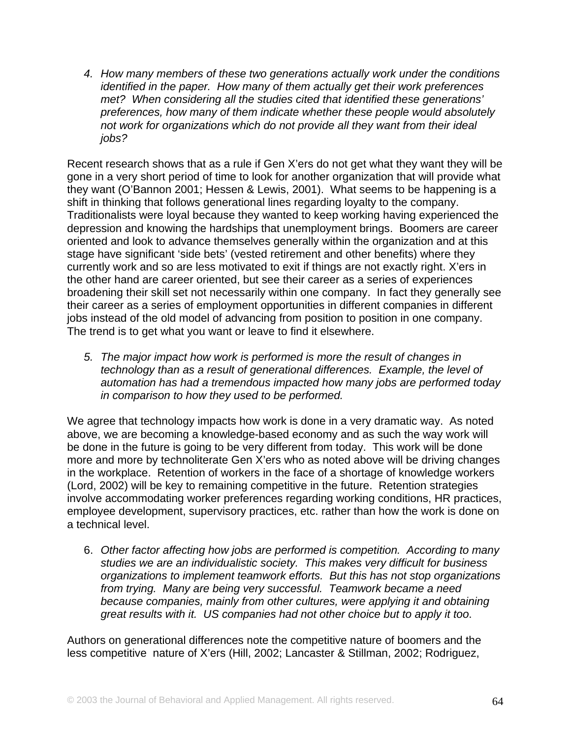*4. How many members of these two generations actually work under the conditions identified in the paper. How many of them actually get their work preferences met? When considering all the studies cited that identified these generations' preferences, how many of them indicate whether these people would absolutely not work for organizations which do not provide all they want from their ideal jobs?* 

Recent research shows that as a rule if Gen X'ers do not get what they want they will be gone in a very short period of time to look for another organization that will provide what they want (O'Bannon 2001; Hessen & Lewis, 2001). What seems to be happening is a shift in thinking that follows generational lines regarding loyalty to the company. Traditionalists were loyal because they wanted to keep working having experienced the depression and knowing the hardships that unemployment brings. Boomers are career oriented and look to advance themselves generally within the organization and at this stage have significant 'side bets' (vested retirement and other benefits) where they currently work and so are less motivated to exit if things are not exactly right. X'ers in the other hand are career oriented, but see their career as a series of experiences broadening their skill set not necessarily within one company. In fact they generally see their career as a series of employment opportunities in different companies in different jobs instead of the old model of advancing from position to position in one company. The trend is to get what you want or leave to find it elsewhere.

*5. The major impact how work is performed is more the result of changes in technology than as a result of generational differences. Example, the level of automation has had a tremendous impacted how many jobs are performed today in comparison to how they used to be performed.* 

We agree that technology impacts how work is done in a very dramatic way. As noted above, we are becoming a knowledge-based economy and as such the way work will be done in the future is going to be very different from today. This work will be done more and more by technoliterate Gen X'ers who as noted above will be driving changes in the workplace. Retention of workers in the face of a shortage of knowledge workers (Lord, 2002) will be key to remaining competitive in the future. Retention strategies involve accommodating worker preferences regarding working conditions, HR practices, employee development, supervisory practices, etc. rather than how the work is done on a technical level.

6. *Other factor affecting how jobs are performed is competition. According to many studies we are an individualistic society. This makes very difficult for business organizations to implement teamwork efforts. But this has not stop organizations from trying. Many are being very successful. Teamwork became a need because companies, mainly from other cultures, were applying it and obtaining great results with it. US companies had not other choice but to apply it too*.

Authors on generational differences note the competitive nature of boomers and the less competitive nature of X'ers (Hill, 2002; Lancaster & Stillman, 2002; Rodriguez,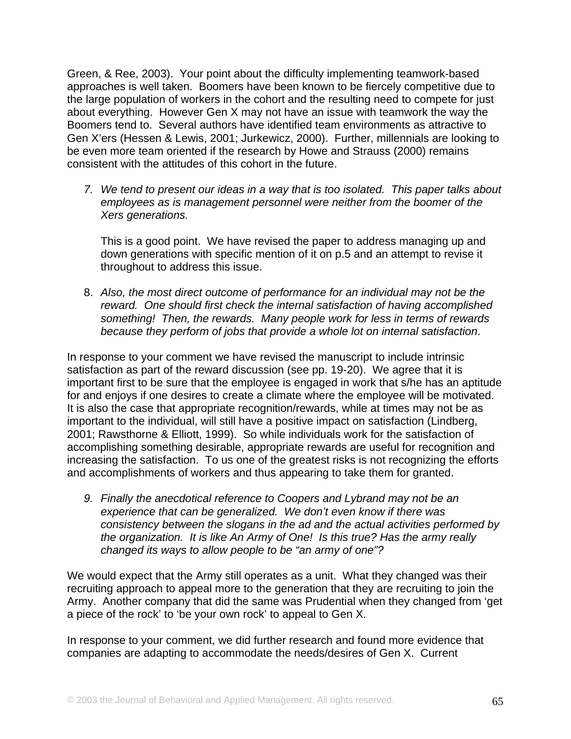Green, & Ree, 2003). Your point about the difficulty implementing teamwork-based approaches is well taken. Boomers have been known to be fiercely competitive due to the large population of workers in the cohort and the resulting need to compete for just about everything. However Gen X may not have an issue with teamwork the way the Boomers tend to. Several authors have identified team environments as attractive to Gen X'ers (Hessen & Lewis, 2001; Jurkewicz, 2000). Further, millennials are looking to be even more team oriented if the research by Howe and Strauss (2000) remains consistent with the attitudes of this cohort in the future.

*7. We tend to present our ideas in a way that is too isolated. This paper talks about employees as is management personnel were neither from the boomer of the Xers generations.* 

This is a good point. We have revised the paper to address managing up and down generations with specific mention of it on p.5 and an attempt to revise it throughout to address this issue.

8. *Also, the most direct outcome of performance for an individual may not be the reward. One should first check the internal satisfaction of having accomplished something! Then, the rewards. Many people work for less in terms of rewards because they perform of jobs that provide a whole lot on internal satisfaction*.

In response to your comment we have revised the manuscript to include intrinsic satisfaction as part of the reward discussion (see pp. 19-20). We agree that it is important first to be sure that the employee is engaged in work that s/he has an aptitude for and enjoys if one desires to create a climate where the employee will be motivated. It is also the case that appropriate recognition/rewards, while at times may not be as important to the individual, will still have a positive impact on satisfaction (Lindberg, 2001; Rawsthorne & Elliott, 1999). So while individuals work for the satisfaction of accomplishing something desirable, appropriate rewards are useful for recognition and increasing the satisfaction. To us one of the greatest risks is not recognizing the efforts and accomplishments of workers and thus appearing to take them for granted.

*9. Finally the anecdotical reference to Coopers and Lybrand may not be an experience that can be generalized. We don't even know if there was consistency between the slogans in the ad and the actual activities performed by the organization. It is like An Army of One! Is this true? Has the army really changed its ways to allow people to be "an army of one"?* 

We would expect that the Army still operates as a unit. What they changed was their recruiting approach to appeal more to the generation that they are recruiting to join the Army. Another company that did the same was Prudential when they changed from 'get a piece of the rock' to 'be your own rock' to appeal to Gen X.

In response to your comment, we did further research and found more evidence that companies are adapting to accommodate the needs/desires of Gen X. Current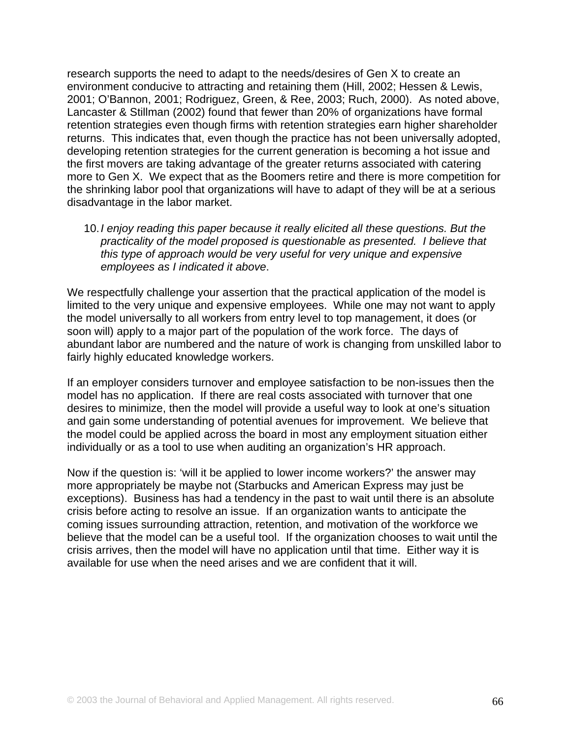research supports the need to adapt to the needs/desires of Gen X to create an environment conducive to attracting and retaining them (Hill, 2002; Hessen & Lewis, 2001; O'Bannon, 2001; Rodriguez, Green, & Ree, 2003; Ruch, 2000). As noted above, Lancaster & Stillman (2002) found that fewer than 20% of organizations have formal retention strategies even though firms with retention strategies earn higher shareholder returns. This indicates that, even though the practice has not been universally adopted, developing retention strategies for the current generation is becoming a hot issue and the first movers are taking advantage of the greater returns associated with catering more to Gen X. We expect that as the Boomers retire and there is more competition for the shrinking labor pool that organizations will have to adapt of they will be at a serious disadvantage in the labor market.

10. *I enjoy reading this paper because it really elicited all these questions. But the practicality of the model proposed is questionable as presented. I believe that this type of approach would be very useful for very unique and expensive employees as I indicated it above*.

We respectfully challenge your assertion that the practical application of the model is limited to the very unique and expensive employees. While one may not want to apply the model universally to all workers from entry level to top management, it does (or soon will) apply to a major part of the population of the work force. The days of abundant labor are numbered and the nature of work is changing from unskilled labor to fairly highly educated knowledge workers.

If an employer considers turnover and employee satisfaction to be non-issues then the model has no application. If there are real costs associated with turnover that one desires to minimize, then the model will provide a useful way to look at one's situation and gain some understanding of potential avenues for improvement. We believe that the model could be applied across the board in most any employment situation either individually or as a tool to use when auditing an organization's HR approach.

Now if the question is: 'will it be applied to lower income workers?' the answer may more appropriately be maybe not (Starbucks and American Express may just be exceptions). Business has had a tendency in the past to wait until there is an absolute crisis before acting to resolve an issue. If an organization wants to anticipate the coming issues surrounding attraction, retention, and motivation of the workforce we believe that the model can be a useful tool. If the organization chooses to wait until the crisis arrives, then the model will have no application until that time. Either way it is available for use when the need arises and we are confident that it will.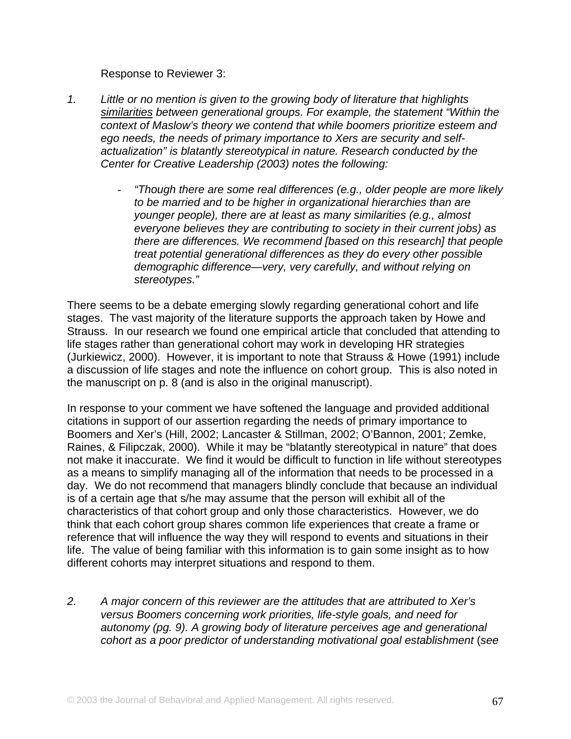Response to Reviewer 3:

- *1. Little or no mention is given to the growing body of literature that highlights similarities between generational groups. For example, the statement "Within the context of Maslow's theory we contend that while boomers prioritize esteem and ego needs, the needs of primary importance to Xers are security and selfactualization" is blatantly stereotypical in nature. Research conducted by the Center for Creative Leadership (2003) notes the following:* 
	- *"Though there are some real differences (e.g., older people are more likely to be married and to be higher in organizational hierarchies than are younger people), there are at least as many similarities (e.g., almost everyone believes they are contributing to society in their current jobs) as there are differences. We recommend [based on this research] that people treat potential generational differences as they do every other possible demographic difference—very, very carefully, and without relying on stereotypes."*

There seems to be a debate emerging slowly regarding generational cohort and life stages. The vast majority of the literature supports the approach taken by Howe and Strauss. In our research we found one empirical article that concluded that attending to life stages rather than generational cohort may work in developing HR strategies (Jurkiewicz, 2000). However, it is important to note that Strauss & Howe (1991) include a discussion of life stages and note the influence on cohort group. This is also noted in the manuscript on p. 8 (and is also in the original manuscript).

In response to your comment we have softened the language and provided additional citations in support of our assertion regarding the needs of primary importance to Boomers and Xer's (Hill, 2002; Lancaster & Stillman, 2002; O'Bannon, 2001; Zemke, Raines, & Filipczak, 2000). While it may be "blatantly stereotypical in nature" that does not make it inaccurate. We find it would be difficult to function in life without stereotypes as a means to simplify managing all of the information that needs to be processed in a day. We do not recommend that managers blindly conclude that because an individual is of a certain age that s/he may assume that the person will exhibit all of the characteristics of that cohort group and only those characteristics. However, we do think that each cohort group shares common life experiences that create a frame or reference that will influence the way they will respond to events and situations in their life. The value of being familiar with this information is to gain some insight as to how different cohorts may interpret situations and respond to them.

*2. A major concern of this reviewer are the attitudes that are attributed to Xer's versus Boomers concerning work priorities, life-style goals, and need for autonomy (pg. 9). A growing body of literature perceives age and generational cohort as a poor predictor of understanding motivational goal establishment* (*see*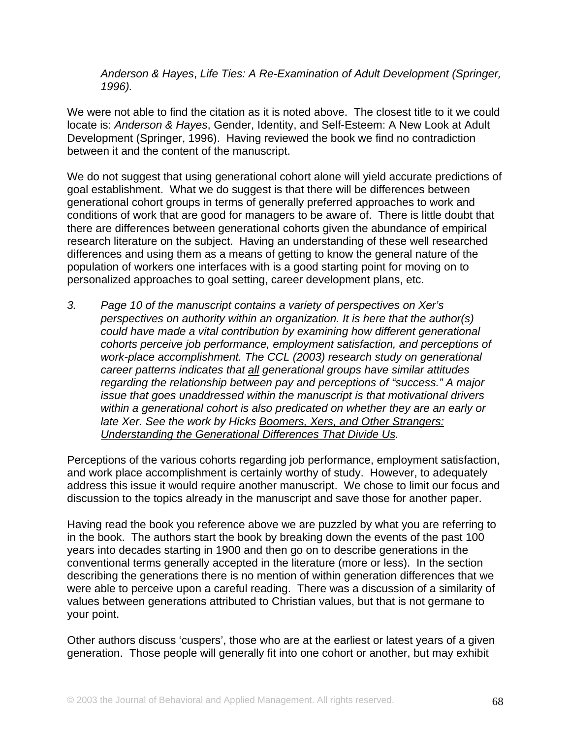*Anderson & Hayes*, *Life Ties: A Re-Examination of Adult Development (Springer, 1996).* 

We were not able to find the citation as it is noted above. The closest title to it we could locate is: *Anderson & Hayes*, Gender, Identity, and Self-Esteem: A New Look at Adult Development (Springer, 1996). Having reviewed the book we find no contradiction between it and the content of the manuscript.

We do not suggest that using generational cohort alone will yield accurate predictions of goal establishment. What we do suggest is that there will be differences between generational cohort groups in terms of generally preferred approaches to work and conditions of work that are good for managers to be aware of. There is little doubt that there are differences between generational cohorts given the abundance of empirical research literature on the subject. Having an understanding of these well researched differences and using them as a means of getting to know the general nature of the population of workers one interfaces with is a good starting point for moving on to personalized approaches to goal setting, career development plans, etc.

*3. Page 10 of the manuscript contains a variety of perspectives on Xer's perspectives on authority within an organization. It is here that the author(s) could have made a vital contribution by examining how different generational cohorts perceive job performance, employment satisfaction, and perceptions of work-place accomplishment. The CCL (2003) research study on generational career patterns indicates that all generational groups have similar attitudes regarding the relationship between pay and perceptions of "success." A major issue that goes unaddressed within the manuscript is that motivational drivers within a generational cohort is also predicated on whether they are an early or late Xer. See the work by Hicks Boomers, Xers, and Other Strangers: Understanding the Generational Differences That Divide Us.* 

Perceptions of the various cohorts regarding job performance, employment satisfaction, and work place accomplishment is certainly worthy of study. However, to adequately address this issue it would require another manuscript. We chose to limit our focus and discussion to the topics already in the manuscript and save those for another paper.

Having read the book you reference above we are puzzled by what you are referring to in the book. The authors start the book by breaking down the events of the past 100 years into decades starting in 1900 and then go on to describe generations in the conventional terms generally accepted in the literature (more or less). In the section describing the generations there is no mention of within generation differences that we were able to perceive upon a careful reading. There was a discussion of a similarity of values between generations attributed to Christian values, but that is not germane to your point.

Other authors discuss 'cuspers', those who are at the earliest or latest years of a given generation. Those people will generally fit into one cohort or another, but may exhibit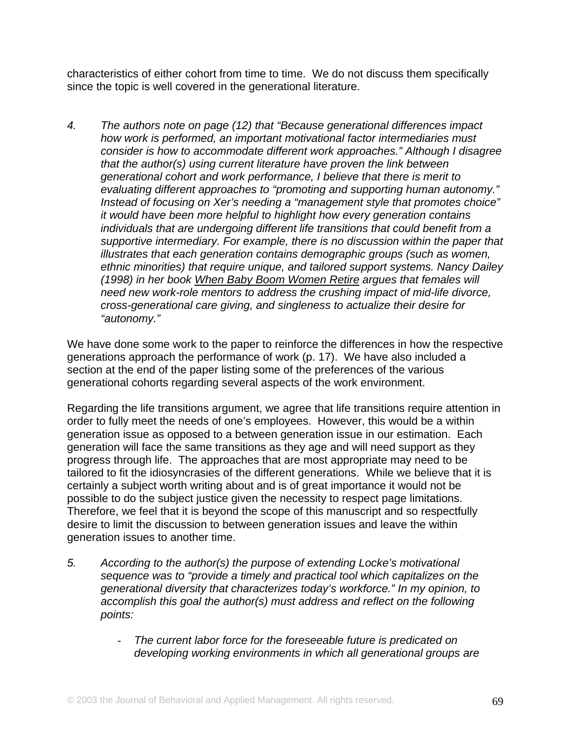characteristics of either cohort from time to time. We do not discuss them specifically since the topic is well covered in the generational literature.

*4. The authors note on page (12) that "Because generational differences impact how work is performed, an important motivational factor intermediaries must consider is how to accommodate different work approaches." Although I disagree that the author(s) using current literature have proven the link between generational cohort and work performance, I believe that there is merit to evaluating different approaches to "promoting and supporting human autonomy." Instead of focusing on Xer's needing a "management style that promotes choice" it would have been more helpful to highlight how every generation contains individuals that are undergoing different life transitions that could benefit from a supportive intermediary. For example, there is no discussion within the paper that illustrates that each generation contains demographic groups (such as women, ethnic minorities) that require unique, and tailored support systems. Nancy Dailey (1998) in her book When Baby Boom Women Retire argues that females will need new work-role mentors to address the crushing impact of mid-life divorce, cross-generational care giving, and singleness to actualize their desire for "autonomy."* 

We have done some work to the paper to reinforce the differences in how the respective generations approach the performance of work (p. 17). We have also included a section at the end of the paper listing some of the preferences of the various generational cohorts regarding several aspects of the work environment.

Regarding the life transitions argument, we agree that life transitions require attention in order to fully meet the needs of one's employees. However, this would be a within generation issue as opposed to a between generation issue in our estimation. Each generation will face the same transitions as they age and will need support as they progress through life. The approaches that are most appropriate may need to be tailored to fit the idiosyncrasies of the different generations. While we believe that it is certainly a subject worth writing about and is of great importance it would not be possible to do the subject justice given the necessity to respect page limitations. Therefore, we feel that it is beyond the scope of this manuscript and so respectfully desire to limit the discussion to between generation issues and leave the within generation issues to another time.

- *5. According to the author(s) the purpose of extending Locke's motivational sequence was to "provide a timely and practical tool which capitalizes on the generational diversity that characterizes today's workforce." In my opinion, to accomplish this goal the author(s) must address and reflect on the following points:* 
	- *The current labor force for the foreseeable future is predicated on developing working environments in which all generational groups are*